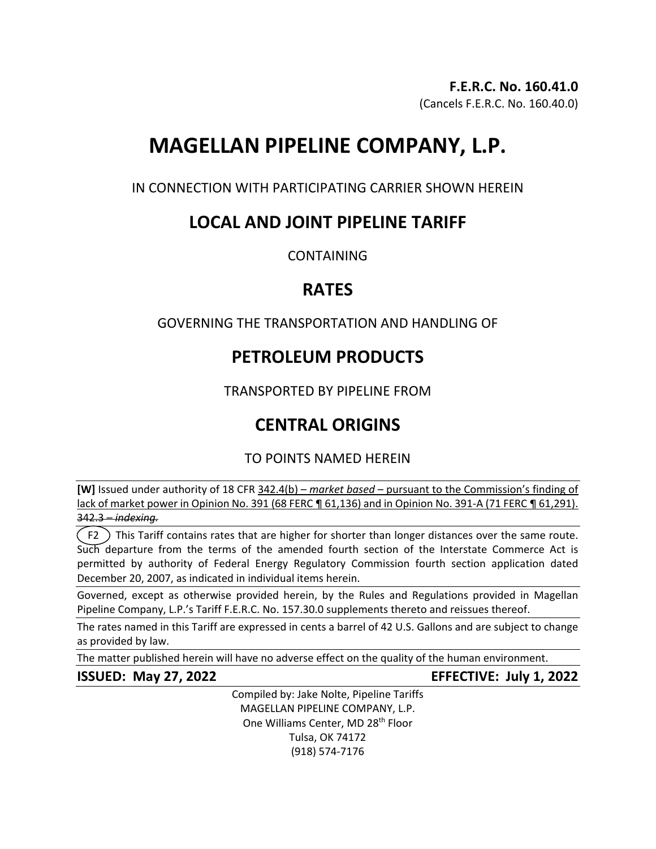# **MAGELLAN PIPELINE COMPANY, L.P.**

IN CONNECTION WITH PARTICIPATING CARRIER SHOWN HEREIN

### **LOCAL AND JOINT PIPELINE TARIFF**

**CONTAINING** 

### **RATES**

### GOVERNING THE TRANSPORTATION AND HANDLING OF

## **PETROLEUM PRODUCTS**

TRANSPORTED BY PIPELINE FROM

# **CENTRAL ORIGINS**

### TO POINTS NAMED HEREIN

**[W]** Issued under authority of 18 CFR 342.4(b) – *market based* – pursuant to the Commission's finding of lack of market power in Opinion No. 391 (68 FERC ¶ 61,136) and in Opinion No. 391-A (71 FERC ¶ 61,291). 342.3 – *indexing.*

 $($  F2  $)$  This Tariff contains rates that are higher for shorter than longer distances over the same route. Such departure from the terms of the amended fourth section of the Interstate Commerce Act is permitted by authority of Federal Energy Regulatory Commission fourth section application dated December 20, 2007, as indicated in individual items herein.

Governed, except as otherwise provided herein, by the Rules and Regulations provided in Magellan Pipeline Company, L.P.'s Tariff F.E.R.C. No. 157.30.0 supplements thereto and reissues thereof.

The rates named in this Tariff are expressed in cents a barrel of 42 U.S. Gallons and are subject to change as provided by law.

The matter published herein will have no adverse effect on the quality of the human environment.

**ISSUED: May 27, 2022 EFFECTIVE: July 1, 2022**

Compiled by: Jake Nolte, Pipeline Tariffs MAGELLAN PIPELINE COMPANY, L.P. One Williams Center, MD 28<sup>th</sup> Floor Tulsa, OK 74172 (918) 574-7176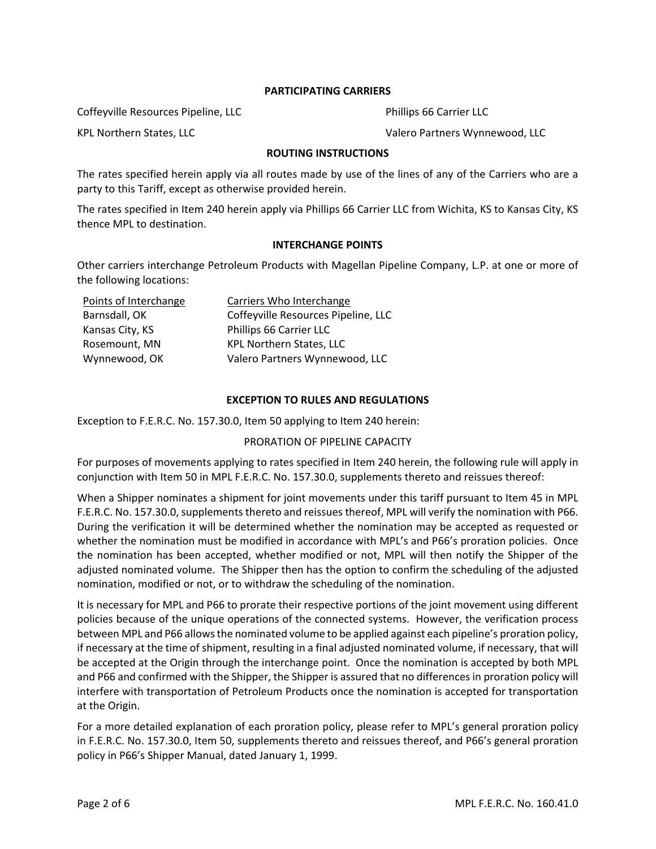#### **PARTICIPATING CARRIERS**

Coffeyville Resources Pipeline, LLC Phillips 66 Carrier LLC

KPL Northern States, LLC **Walers According to According the Valero Partners Wynnewood, LLC** 

#### **ROUTING INSTRUCTIONS**

The rates specified herein apply via all routes made by use of the lines of any of the Carriers who are a party to this Tariff, except as otherwise provided herein.

The rates specified in Item 240 herein apply via Phillips 66 Carrier LLC from Wichita, KS to Kansas City, KS thence MPL to destination.

#### **INTERCHANGE POINTS**

Other carriers interchange Petroleum Products with Magellan Pipeline Company, L.P. at one or more of the following locations:

| Points of Interchange | Carriers Who Interchange            |
|-----------------------|-------------------------------------|
| Barnsdall, OK         | Coffeyville Resources Pipeline, LLC |
| Kansas City, KS       | Phillips 66 Carrier LLC             |
| Rosemount, MN         | <b>KPL Northern States, LLC</b>     |
| Wynnewood, OK         | Valero Partners Wynnewood, LLC      |

#### **EXCEPTION TO RULES AND REGULATIONS**

Exception to F.E.R.C. No. 157.30.0, Item 50 applying to Item 240 herein:

#### PRORATION OF PIPELINE CAPACITY

For purposes of movements applying to rates specified in Item 240 herein, the following rule will apply in conjunction with Item 50 in MPL F.E.R.C. No. 157.30.0, supplements thereto and reissues thereof:

When a Shipper nominates a shipment for joint movements under this tariff pursuant to Item 45 in MPL F.E.R.C. No. 157.30.0, supplements thereto and reissues thereof, MPL will verify the nomination with P66. During the verification it will be determined whether the nomination may be accepted as requested or whether the nomination must be modified in accordance with MPL's and P66's proration policies. Once the nomination has been accepted, whether modified or not, MPL will then notify the Shipper of the adjusted nominated volume. The Shipper then has the option to confirm the scheduling of the adjusted nomination, modified or not, or to withdraw the scheduling of the nomination.

It is necessary for MPL and P66 to prorate their respective portions of the joint movement using different policies because of the unique operations of the connected systems. However, the verification process between MPL and P66 allows the nominated volume to be applied against each pipeline's proration policy, if necessary at the time of shipment, resulting in a final adjusted nominated volume, if necessary, that will be accepted at the Origin through the interchange point. Once the nomination is accepted by both MPL and P66 and confirmed with the Shipper, the Shipper is assured that no differences in proration policy will interfere with transportation of Petroleum Products once the nomination is accepted for transportation at the Origin.

For a more detailed explanation of each proration policy, please refer to MPL's general proration policy in F.E.R.C. No. 157.30.0, Item 50, supplements thereto and reissues thereof, and P66's general proration policy in P66's Shipper Manual, dated January 1, 1999.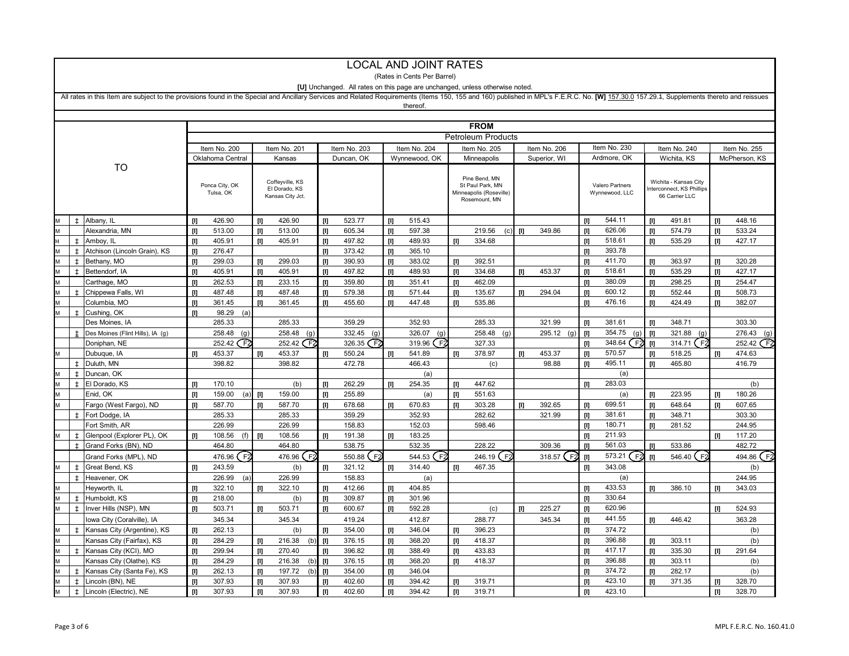|    | <b>LOCAL AND JOINT RATES</b> |                                                                                                                                                                                                                               |                                                                                                                                                                                                                                                                                                                                                                                                                                                                                                                                                                                                                                               |                  |                                                                                                                                                                                                                                                                                                                                                                                                                                                                                                                                                                                                                                                                                                                                          |                                   |              |                  |             |                             |                                                                                                                                                                                                                                                                                                                                                                                                                                                                                                                                                                                                                                                                                                                            |                                                                              |   |               |                                                                                                                                                                                                                                                                                                                                                                                                                                                                                                                                                                                                                                                                                                                                                                                                                          |                          |              |                                            |               |                  |
|----|------------------------------|-------------------------------------------------------------------------------------------------------------------------------------------------------------------------------------------------------------------------------|-----------------------------------------------------------------------------------------------------------------------------------------------------------------------------------------------------------------------------------------------------------------------------------------------------------------------------------------------------------------------------------------------------------------------------------------------------------------------------------------------------------------------------------------------------------------------------------------------------------------------------------------------|------------------|------------------------------------------------------------------------------------------------------------------------------------------------------------------------------------------------------------------------------------------------------------------------------------------------------------------------------------------------------------------------------------------------------------------------------------------------------------------------------------------------------------------------------------------------------------------------------------------------------------------------------------------------------------------------------------------------------------------------------------------|-----------------------------------|--------------|------------------|-------------|-----------------------------|----------------------------------------------------------------------------------------------------------------------------------------------------------------------------------------------------------------------------------------------------------------------------------------------------------------------------------------------------------------------------------------------------------------------------------------------------------------------------------------------------------------------------------------------------------------------------------------------------------------------------------------------------------------------------------------------------------------------------|------------------------------------------------------------------------------|---|---------------|--------------------------------------------------------------------------------------------------------------------------------------------------------------------------------------------------------------------------------------------------------------------------------------------------------------------------------------------------------------------------------------------------------------------------------------------------------------------------------------------------------------------------------------------------------------------------------------------------------------------------------------------------------------------------------------------------------------------------------------------------------------------------------------------------------------------------|--------------------------|--------------|--------------------------------------------|---------------|------------------|
|    |                              |                                                                                                                                                                                                                               |                                                                                                                                                                                                                                                                                                                                                                                                                                                                                                                                                                                                                                               |                  |                                                                                                                                                                                                                                                                                                                                                                                                                                                                                                                                                                                                                                                                                                                                          |                                   |              |                  |             | (Rates in Cents Per Barrel) |                                                                                                                                                                                                                                                                                                                                                                                                                                                                                                                                                                                                                                                                                                                            |                                                                              |   |               |                                                                                                                                                                                                                                                                                                                                                                                                                                                                                                                                                                                                                                                                                                                                                                                                                          |                          |              |                                            |               |                  |
|    |                              |                                                                                                                                                                                                                               |                                                                                                                                                                                                                                                                                                                                                                                                                                                                                                                                                                                                                                               |                  |                                                                                                                                                                                                                                                                                                                                                                                                                                                                                                                                                                                                                                                                                                                                          |                                   |              |                  |             |                             |                                                                                                                                                                                                                                                                                                                                                                                                                                                                                                                                                                                                                                                                                                                            | [U] Unchanged. All rates on this page are unchanged, unless otherwise noted. |   |               |                                                                                                                                                                                                                                                                                                                                                                                                                                                                                                                                                                                                                                                                                                                                                                                                                          |                          |              |                                            |               |                  |
|    |                              | All rates in this Item are subject to the provisions found in the Special and Ancillary Services and Related Requirements (Items 150, 155 and 160) published in MPL's F.E.R.C. No. [W] 157.30.0 157.29.4, Supplements thereto |                                                                                                                                                                                                                                                                                                                                                                                                                                                                                                                                                                                                                                               |                  |                                                                                                                                                                                                                                                                                                                                                                                                                                                                                                                                                                                                                                                                                                                                          |                                   |              |                  |             |                             |                                                                                                                                                                                                                                                                                                                                                                                                                                                                                                                                                                                                                                                                                                                            |                                                                              |   |               |                                                                                                                                                                                                                                                                                                                                                                                                                                                                                                                                                                                                                                                                                                                                                                                                                          |                          |              |                                            |               |                  |
|    |                              |                                                                                                                                                                                                                               |                                                                                                                                                                                                                                                                                                                                                                                                                                                                                                                                                                                                                                               |                  |                                                                                                                                                                                                                                                                                                                                                                                                                                                                                                                                                                                                                                                                                                                                          |                                   |              |                  |             | thereof                     |                                                                                                                                                                                                                                                                                                                                                                                                                                                                                                                                                                                                                                                                                                                            |                                                                              |   |               |                                                                                                                                                                                                                                                                                                                                                                                                                                                                                                                                                                                                                                                                                                                                                                                                                          |                          |              |                                            |               |                  |
|    |                              |                                                                                                                                                                                                                               |                                                                                                                                                                                                                                                                                                                                                                                                                                                                                                                                                                                                                                               |                  |                                                                                                                                                                                                                                                                                                                                                                                                                                                                                                                                                                                                                                                                                                                                          |                                   |              |                  |             |                             |                                                                                                                                                                                                                                                                                                                                                                                                                                                                                                                                                                                                                                                                                                                            |                                                                              |   |               |                                                                                                                                                                                                                                                                                                                                                                                                                                                                                                                                                                                                                                                                                                                                                                                                                          |                          |              |                                            |               |                  |
|    |                              |                                                                                                                                                                                                                               |                                                                                                                                                                                                                                                                                                                                                                                                                                                                                                                                                                                                                                               |                  |                                                                                                                                                                                                                                                                                                                                                                                                                                                                                                                                                                                                                                                                                                                                          |                                   |              |                  |             |                             |                                                                                                                                                                                                                                                                                                                                                                                                                                                                                                                                                                                                                                                                                                                            | <b>FROM</b>                                                                  |   |               |                                                                                                                                                                                                                                                                                                                                                                                                                                                                                                                                                                                                                                                                                                                                                                                                                          |                          |              |                                            |               |                  |
|    |                              |                                                                                                                                                                                                                               |                                                                                                                                                                                                                                                                                                                                                                                                                                                                                                                                                                                                                                               |                  |                                                                                                                                                                                                                                                                                                                                                                                                                                                                                                                                                                                                                                                                                                                                          |                                   |              |                  |             |                             |                                                                                                                                                                                                                                                                                                                                                                                                                                                                                                                                                                                                                                                                                                                            | <b>Petroleum Products</b>                                                    |   |               |                                                                                                                                                                                                                                                                                                                                                                                                                                                                                                                                                                                                                                                                                                                                                                                                                          |                          |              |                                            |               |                  |
|    |                              |                                                                                                                                                                                                                               |                                                                                                                                                                                                                                                                                                                                                                                                                                                                                                                                                                                                                                               | Item No. 200     |                                                                                                                                                                                                                                                                                                                                                                                                                                                                                                                                                                                                                                                                                                                                          | Item No. 201                      |              | Item No. 203     |             | Item No. 204                |                                                                                                                                                                                                                                                                                                                                                                                                                                                                                                                                                                                                                                                                                                                            | Item No. 205                                                                 |   | Item No. 206  | Item No. 230                                                                                                                                                                                                                                                                                                                                                                                                                                                                                                                                                                                                                                                                                                                                                                                                             |                          | Item No. 240 |                                            |               | Item No. 255     |
|    |                              |                                                                                                                                                                                                                               |                                                                                                                                                                                                                                                                                                                                                                                                                                                                                                                                                                                                                                               | Oklahoma Central |                                                                                                                                                                                                                                                                                                                                                                                                                                                                                                                                                                                                                                                                                                                                          | Kansas                            |              | Duncan, OK       |             | Wynnewood, OK               |                                                                                                                                                                                                                                                                                                                                                                                                                                                                                                                                                                                                                                                                                                                            | Minneapolis                                                                  |   | Superior, WI  |                                                                                                                                                                                                                                                                                                                                                                                                                                                                                                                                                                                                                                                                                                                                                                                                                          | Ardmore, OK              |              | Wichita, KS                                | McPherson, KS |                  |
|    |                              | <b>TO</b>                                                                                                                                                                                                                     |                                                                                                                                                                                                                                                                                                                                                                                                                                                                                                                                                                                                                                               |                  |                                                                                                                                                                                                                                                                                                                                                                                                                                                                                                                                                                                                                                                                                                                                          |                                   |              |                  |             |                             |                                                                                                                                                                                                                                                                                                                                                                                                                                                                                                                                                                                                                                                                                                                            |                                                                              |   |               |                                                                                                                                                                                                                                                                                                                                                                                                                                                                                                                                                                                                                                                                                                                                                                                                                          |                          |              |                                            |               |                  |
|    |                              |                                                                                                                                                                                                                               |                                                                                                                                                                                                                                                                                                                                                                                                                                                                                                                                                                                                                                               | Ponca City, OK   |                                                                                                                                                                                                                                                                                                                                                                                                                                                                                                                                                                                                                                                                                                                                          | Coffeyville, KS                   |              |                  |             |                             |                                                                                                                                                                                                                                                                                                                                                                                                                                                                                                                                                                                                                                                                                                                            | Pine Bend, MN<br>St Paul Park, MN                                            |   |               |                                                                                                                                                                                                                                                                                                                                                                                                                                                                                                                                                                                                                                                                                                                                                                                                                          | Valero Partners          |              | Wichita - Kansas City                      |               |                  |
|    |                              |                                                                                                                                                                                                                               |                                                                                                                                                                                                                                                                                                                                                                                                                                                                                                                                                                                                                                               | Tulsa, OK        |                                                                                                                                                                                                                                                                                                                                                                                                                                                                                                                                                                                                                                                                                                                                          | El Dorado, KS<br>Kansas City Jct. |              |                  |             |                             |                                                                                                                                                                                                                                                                                                                                                                                                                                                                                                                                                                                                                                                                                                                            | Minneapolis (Roseville)                                                      |   |               |                                                                                                                                                                                                                                                                                                                                                                                                                                                                                                                                                                                                                                                                                                                                                                                                                          | Wynnewood, LLC           |              | nterconnect, KS Phillips<br>66 Carrier LLC |               |                  |
|    |                              |                                                                                                                                                                                                                               |                                                                                                                                                                                                                                                                                                                                                                                                                                                                                                                                                                                                                                               |                  |                                                                                                                                                                                                                                                                                                                                                                                                                                                                                                                                                                                                                                                                                                                                          |                                   |              |                  |             |                             | Rosemount, MN                                                                                                                                                                                                                                                                                                                                                                                                                                                                                                                                                                                                                                                                                                              |                                                                              |   |               |                                                                                                                                                                                                                                                                                                                                                                                                                                                                                                                                                                                                                                                                                                                                                                                                                          |                          |              |                                            |               |                  |
|    |                              |                                                                                                                                                                                                                               |                                                                                                                                                                                                                                                                                                                                                                                                                                                                                                                                                                                                                                               |                  |                                                                                                                                                                                                                                                                                                                                                                                                                                                                                                                                                                                                                                                                                                                                          |                                   |              |                  |             |                             |                                                                                                                                                                                                                                                                                                                                                                                                                                                                                                                                                                                                                                                                                                                            |                                                                              |   |               |                                                                                                                                                                                                                                                                                                                                                                                                                                                                                                                                                                                                                                                                                                                                                                                                                          |                          |              |                                            |               |                  |
|    | $\pm$                        | Albany, IL<br>Alexandria, MN                                                                                                                                                                                                  | Ш                                                                                                                                                                                                                                                                                                                                                                                                                                                                                                                                                                                                                                             | 426.90           | Ш                                                                                                                                                                                                                                                                                                                                                                                                                                                                                                                                                                                                                                                                                                                                        | 426.90                            | $[1]$        | 523.77           | m           | 515.43                      |                                                                                                                                                                                                                                                                                                                                                                                                                                                                                                                                                                                                                                                                                                                            |                                                                              |   | 349.86        | $[1]$                                                                                                                                                                                                                                                                                                                                                                                                                                                                                                                                                                                                                                                                                                                                                                                                                    | 544.11<br>626.06         | Ш            | 491.81                                     | Ш             | 448.16           |
|    | $\pm$                        | Amboy, IL                                                                                                                                                                                                                     | $[1] % \centering \includegraphics[width=0.9\textwidth]{images/TrDiS/N-Architecture.png} % \caption{The first two different values of $N$ in the case of $N$ in the case of $N$ in the case of $N$ in the case of $N$ in the case of $N$ in the case of $N$ in the case of $N$ in the case of $N$ in the case of $N$ in the case of $N$ in the case of $N$ in the case of $N$ in the case of $N$ in the case of $N$ in the case of $N$ in the case of $N$ in the case of $N$ in the case of $N$ in the case of $N$ in the case of $N$ in the case of $N$ in the case of $N$ in the case of $N$ in the case of $N$ in the case of $N$ in$      | 513.00<br>405.91 | m                                                                                                                                                                                                                                                                                                                                                                                                                                                                                                                                                                                                                                                                                                                                        | 513.00<br>405.91                  | III          | 605.34<br>497.82 | $[1]$       | 597.38<br>489.93            | ш                                                                                                                                                                                                                                                                                                                                                                                                                                                                                                                                                                                                                                                                                                                          | 219.56<br>(c)<br>334.68                                                      | Ш |               | $[1]$                                                                                                                                                                                                                                                                                                                                                                                                                                                                                                                                                                                                                                                                                                                                                                                                                    | 518.61                   | U            | 574.79<br>535.29                           | m             | 533.24<br>427.17 |
|    | $\ddagger$                   | Atchison (Lincoln Grain), KS                                                                                                                                                                                                  | Ш<br>$[1] % \centering \includegraphics[width=0.9\textwidth]{images/TrDiS/N-Architecture.png} % \caption{The first two different values of $N$ in the case of $N$ in the case of $N$ in the case of $N$ in the case of $N$ in the case of $N$ in the case of $N$ in the case of $N$ in the case of $N$ in the case of $N$ in the case of $N$ in the case of $N$ in the case of $N$ in the case of $N$ in the case of $N$ in the case of $N$ in the case of $N$ in the case of $N$ in the case of $N$ in the case of $N$ in the case of $N$ in the case of $N$ in the case of $N$ in the case of $N$ in the case of $N$ in the case of $N$ in$ | 276.47           | Ш                                                                                                                                                                                                                                                                                                                                                                                                                                                                                                                                                                                                                                                                                                                                        |                                   | Ш            | 373.42           | Ш           | 365.10                      |                                                                                                                                                                                                                                                                                                                                                                                                                                                                                                                                                                                                                                                                                                                            |                                                                              |   |               | Ш                                                                                                                                                                                                                                                                                                                                                                                                                                                                                                                                                                                                                                                                                                                                                                                                                        | 393.78                   |              |                                            | Ш             |                  |
| M  | $\ddagger$                   | Bethany, MO                                                                                                                                                                                                                   | $[1] % \centering \includegraphics[width=0.9\textwidth]{images/TrDiS/N-Architecture.png} % \caption{The first two different values of $N=1000$ and $N=1000$ (black) and $N=1000$ (black) and $N=1000$ (black) and $N=1000$ (black) and $N=1000$ (black) and $N=1000$ (black) and $N=1000$ (black) and $N=1000$ (black) and $N=1000$ (black) and $N=1000$ (black) and $N=1000$ (black) and $N=1000$ (black) and $N=1000$ (black) and $N=1000$ (black) and $N$                                                                                                                                                                                  | 299.03           | $[1] % \centering \includegraphics[width=0.9\textwidth]{images/Trn1.png} % \caption{The first two different values of $d = 1$. The first two different values of $d = 1.3$, the first two different values of $d = 1.3$, the second two different values of $d = 1.3$, the second two different values of $d = 1.3$, the second two different values of $d = 1.3$, the second two different values of $d = 1.3$, the second two different values of $d = 1.3$, the second two different values of $d = 1.3$, the third two different values of $d = 1.3$, the third two different values of $d = 1.3$, the third two different values of $d = 1.3$, the third two different values of $d = 1.3$, the third two different values of $d =$ | 299.03                            | Ш<br>U)      | 390.93           | U)<br>$[1]$ | 383.02                      | m                                                                                                                                                                                                                                                                                                                                                                                                                                                                                                                                                                                                                                                                                                                          | 392.51                                                                       |   |               | m<br>[I]                                                                                                                                                                                                                                                                                                                                                                                                                                                                                                                                                                                                                                                                                                                                                                                                                 | 411.70                   | Ш            | 363.97                                     | m             | 320.28           |
| M  | $\pm$                        | Bettendorf, IA                                                                                                                                                                                                                | $[1] % \centering \includegraphics[width=0.9\textwidth]{images/TrDiS/N-Architecture.png} % \caption{The first two different values of $N=1000$ and $N=1000$ (black) and $N=1000$ (black) and $N=1000$ (black) and $N=1000$ (black) and $N=1000$ (black) and $N=1000$ (black) and $N=1000$ (black) and $N=1000$ (black) and $N=1000$ (black) and $N=1000$ (black) and $N=1000$ (black) and $N=1000$ (black) and $N=1000$ (black) and $N=1000$ (black) and $N$                                                                                                                                                                                  | 405.91           | Ш                                                                                                                                                                                                                                                                                                                                                                                                                                                                                                                                                                                                                                                                                                                                        | 405.91                            | $[1]$        | 497.82           | [I]         | 489.93                      | $[1]$                                                                                                                                                                                                                                                                                                                                                                                                                                                                                                                                                                                                                                                                                                                      | 334.68                                                                       | Ш | 453.37        | $[1]$                                                                                                                                                                                                                                                                                                                                                                                                                                                                                                                                                                                                                                                                                                                                                                                                                    | 518.61                   | Ш            | 535.29                                     | $[1]$         | 427.17           |
| M  |                              | Carthage, MO                                                                                                                                                                                                                  | $[1] % \centering \includegraphics[width=0.9\textwidth]{images/TrDiS/N-Architecture.png} % \caption{The first two different values of $N=1000$ and $N=1000$ (black) and $N=1000$ (black) and $N=1000$ (black) and $N=1000$ (black) and $N=1000$ (black) and $N=1000$ (black) and $N=1000$ (black) and $N=1000$ (black) and $N=1000$ (black) and $N=1000$ (black) and $N=1000$ (black) and $N=1000$ (black) and $N=1000$ (black) and $N=1000$ (black) and $N$                                                                                                                                                                                  | 262.53           | $[1] % \centering \includegraphics[width=0.47\textwidth]{images/TrDiM-Architecture.png} % \caption{The first two different values of $d \sim \tfrac{1}{2}$. The first two different values of $d$ and $d$ are the same.} % \label{TrDiM-Architecture} %$                                                                                                                                                                                                                                                                                                                                                                                                                                                                                 | 233.15                            | $\mathbf{u}$ | 359.80           | U)          | 351.41                      | $[1] % \centering \includegraphics[width=0.9\textwidth]{images/TrDiM-Architecture.png} % \caption{The first two different values of $S_1$ and $S_2$ are shown in the left two different values of $S_1$ and $S_3$ are shown in the right two different values of $S_1$ and $S_4$ are shown in the right two different values of $S_1$ and $S_2$ are shown in the right two different values of $S_1$ and $S_4$ are shown in the right two different values of $S_1$ and $S_4$ are shown in the right two different values of $S_1$ and $S_5$ are shown in the right two different values of $S_1$ and $S_6$ are shown in the right two different values of $S_1$ and $S_6$ are shown in the right two different values of$ | 462.09                                                                       |   |               | $[1]$                                                                                                                                                                                                                                                                                                                                                                                                                                                                                                                                                                                                                                                                                                                                                                                                                    | 380.09                   | $[1]$        | 298.25                                     | [1]           | 254.47           |
|    | $\pm$                        | Chippewa Falls, WI                                                                                                                                                                                                            | $[1] % \centering \includegraphics[width=0.9\textwidth]{images/TrDiS/N-Architecture.png} % \caption{The first two different values of $N$ in the case of $N$ in the case of $N$ in the case of $N$ in the case of $N$ in the case of $N$ in the case of $N$ in the case of $N$ in the case of $N$ in the case of $N$ in the case of $N$ in the case of $N$ in the case of $N$ in the case of $N$ in the case of $N$ in the case of $N$ in the case of $N$ in the case of $N$ in the case of $N$ in the case of $N$ in the case of $N$ in the case of $N$ in the case of $N$ in the case of $N$ in the case of $N$ in the case of $N$ in$      | 487.48           | Ш                                                                                                                                                                                                                                                                                                                                                                                                                                                                                                                                                                                                                                                                                                                                        | 487.48                            | [1]          | 579.38           | $[1]$       | 571.44                      | Ш                                                                                                                                                                                                                                                                                                                                                                                                                                                                                                                                                                                                                                                                                                                          | 135.67                                                                       | m | 294.04        | $[1]$                                                                                                                                                                                                                                                                                                                                                                                                                                                                                                                                                                                                                                                                                                                                                                                                                    | 600.12                   | Ш            | 552.44                                     | $[1]$         | 508.73           |
|    |                              | Columbia, MO                                                                                                                                                                                                                  | $[1] % \centering \includegraphics[width=0.9\textwidth]{images/TrDiS/N-Architecture.png} % \caption{The first two different values of $N$ in the case of $N$ in the case of $N$ in the case of $N$ in the case of $N$ in the case of $N$ in the case of $N$ in the case of $N$ in the case of $N$ in the case of $N$ in the case of $N$ in the case of $N$ in the case of $N$ in the case of $N$ in the case of $N$ in the case of $N$ in the case of $N$ in the case of $N$ in the case of $N$ in the case of $N$ in the case of $N$ in the case of $N$ in the case of $N$ in the case of $N$ in the case of $N$ in the case of $N$ in$      | 361.45           | Ш                                                                                                                                                                                                                                                                                                                                                                                                                                                                                                                                                                                                                                                                                                                                        | 361.45                            | m            | 455.60           | [I]         | 447.48                      | Ш                                                                                                                                                                                                                                                                                                                                                                                                                                                                                                                                                                                                                                                                                                                          | 535.86                                                                       |   |               | U)                                                                                                                                                                                                                                                                                                                                                                                                                                                                                                                                                                                                                                                                                                                                                                                                                       | 476.16                   | Ш            | 424.49                                     | Ш             | 382.07           |
|    | $\ddagger$                   | Cushing, OK                                                                                                                                                                                                                   | $[1]$                                                                                                                                                                                                                                                                                                                                                                                                                                                                                                                                                                                                                                         | 98.29<br>(a)     |                                                                                                                                                                                                                                                                                                                                                                                                                                                                                                                                                                                                                                                                                                                                          |                                   |              |                  |             |                             |                                                                                                                                                                                                                                                                                                                                                                                                                                                                                                                                                                                                                                                                                                                            |                                                                              |   |               |                                                                                                                                                                                                                                                                                                                                                                                                                                                                                                                                                                                                                                                                                                                                                                                                                          |                          |              |                                            |               |                  |
|    |                              | Des Moines, IA                                                                                                                                                                                                                |                                                                                                                                                                                                                                                                                                                                                                                                                                                                                                                                                                                                                                               | 285.33           |                                                                                                                                                                                                                                                                                                                                                                                                                                                                                                                                                                                                                                                                                                                                          | 285.33                            |              | 359.29           |             | 352.93                      |                                                                                                                                                                                                                                                                                                                                                                                                                                                                                                                                                                                                                                                                                                                            | 285.33                                                                       |   | 321.99        | m                                                                                                                                                                                                                                                                                                                                                                                                                                                                                                                                                                                                                                                                                                                                                                                                                        | 381.61                   | m            | 348.71                                     |               | 303.30           |
|    |                              | Des Moines (Flint Hills), IA (q)                                                                                                                                                                                              |                                                                                                                                                                                                                                                                                                                                                                                                                                                                                                                                                                                                                                               | 258.48<br>(a)    |                                                                                                                                                                                                                                                                                                                                                                                                                                                                                                                                                                                                                                                                                                                                          | 258.48<br>(q)                     |              | 332.45<br>(q)    |             | 326.07<br>(q)               |                                                                                                                                                                                                                                                                                                                                                                                                                                                                                                                                                                                                                                                                                                                            | 258.48<br>(a)                                                                |   | 295.12<br>(q) | Ш                                                                                                                                                                                                                                                                                                                                                                                                                                                                                                                                                                                                                                                                                                                                                                                                                        | 354.75<br>(a)            |              | 321.88<br>(q)                              |               | 276.43<br>(q)    |
|    |                              | Doniphan, NE                                                                                                                                                                                                                  |                                                                                                                                                                                                                                                                                                                                                                                                                                                                                                                                                                                                                                               | 252.42 F2        |                                                                                                                                                                                                                                                                                                                                                                                                                                                                                                                                                                                                                                                                                                                                          | 252.42 F2                         |              | 326.35 F2        |             | F <sub>2</sub><br>319.96    |                                                                                                                                                                                                                                                                                                                                                                                                                                                                                                                                                                                                                                                                                                                            | 327.33                                                                       |   |               | $[1] \centering% \includegraphics[width=1.0\textwidth]{Figures/PD1.png} \caption{The 3D (black) model for the $z$-axis. The left side is the right side (black) model for the $z$-axis. The right side is the right side (black) model for the $z$-axis. The right side is the right side (black) model for the $z$-axis. The right side is the right side (black) model for the $z$-axis.} \label{fig5}$                                                                                                                                                                                                                                                                                                                                                                                                                | F <sub>2</sub><br>348.64 | Ш            | F <sub>2</sub><br>314.71                   |               | 252.42 F2        |
| M  |                              | Dubuque, IA                                                                                                                                                                                                                   | $[1]$                                                                                                                                                                                                                                                                                                                                                                                                                                                                                                                                                                                                                                         | 453.37           | Ш                                                                                                                                                                                                                                                                                                                                                                                                                                                                                                                                                                                                                                                                                                                                        | 453.37                            | [I]          | 550.24           | [I]         | 541.89                      | Ш                                                                                                                                                                                                                                                                                                                                                                                                                                                                                                                                                                                                                                                                                                                          | 378.97                                                                       | m | 453.37        | $[1]$                                                                                                                                                                                                                                                                                                                                                                                                                                                                                                                                                                                                                                                                                                                                                                                                                    | 570.57                   |              | 518.25                                     | [I]           | 474.63           |
|    | $\pm$                        | Duluth, MN                                                                                                                                                                                                                    |                                                                                                                                                                                                                                                                                                                                                                                                                                                                                                                                                                                                                                               | 398.82           |                                                                                                                                                                                                                                                                                                                                                                                                                                                                                                                                                                                                                                                                                                                                          | 398.82                            |              | 472.78           |             | 466.43                      |                                                                                                                                                                                                                                                                                                                                                                                                                                                                                                                                                                                                                                                                                                                            | (c)                                                                          |   | 98.88         | $[1]$                                                                                                                                                                                                                                                                                                                                                                                                                                                                                                                                                                                                                                                                                                                                                                                                                    | 495.11                   | Ш            | 465.80                                     |               | 416.79           |
|    | $\ddagger$                   | Duncan, OK                                                                                                                                                                                                                    |                                                                                                                                                                                                                                                                                                                                                                                                                                                                                                                                                                                                                                               |                  |                                                                                                                                                                                                                                                                                                                                                                                                                                                                                                                                                                                                                                                                                                                                          |                                   |              |                  |             | (a)                         |                                                                                                                                                                                                                                                                                                                                                                                                                                                                                                                                                                                                                                                                                                                            |                                                                              |   |               |                                                                                                                                                                                                                                                                                                                                                                                                                                                                                                                                                                                                                                                                                                                                                                                                                          | (a)                      |              |                                            |               |                  |
|    | $\pm$                        | El Dorado, KS                                                                                                                                                                                                                 | Ш                                                                                                                                                                                                                                                                                                                                                                                                                                                                                                                                                                                                                                             | 170.10           |                                                                                                                                                                                                                                                                                                                                                                                                                                                                                                                                                                                                                                                                                                                                          | (b)                               | Ш            | 262.29           | Ш           | 254.35                      | Ш                                                                                                                                                                                                                                                                                                                                                                                                                                                                                                                                                                                                                                                                                                                          | 447.62                                                                       |   |               | m                                                                                                                                                                                                                                                                                                                                                                                                                                                                                                                                                                                                                                                                                                                                                                                                                        | 283.03                   |              |                                            |               | (b)              |
|    |                              | Enid. OK                                                                                                                                                                                                                      | $[1]$                                                                                                                                                                                                                                                                                                                                                                                                                                                                                                                                                                                                                                         | 159.00<br>(a)    | IJ                                                                                                                                                                                                                                                                                                                                                                                                                                                                                                                                                                                                                                                                                                                                       | 159.00                            | Ш            | 255.89           |             | (a)                         | Ш                                                                                                                                                                                                                                                                                                                                                                                                                                                                                                                                                                                                                                                                                                                          | 551.63                                                                       |   |               |                                                                                                                                                                                                                                                                                                                                                                                                                                                                                                                                                                                                                                                                                                                                                                                                                          | (a)                      | Ш            | 223.95                                     | m             | 180.26           |
| M  |                              | Fargo (West Fargo), ND                                                                                                                                                                                                        | $[1] % \centering \includegraphics[width=0.9\textwidth]{images/TrDiS/NR-Architecture.png} % \caption{The first two different values of $N$ in the left and right.} \label{TrDiS/NR-Architecture} %$                                                                                                                                                                                                                                                                                                                                                                                                                                           | 587.70           | m                                                                                                                                                                                                                                                                                                                                                                                                                                                                                                                                                                                                                                                                                                                                        | 587.70                            | [1]          | 678.68           | [I]         | 670.83                      | m                                                                                                                                                                                                                                                                                                                                                                                                                                                                                                                                                                                                                                                                                                                          | 303.28                                                                       | Ш | 392.65        | [I]                                                                                                                                                                                                                                                                                                                                                                                                                                                                                                                                                                                                                                                                                                                                                                                                                      | 699.51                   | Ш            | 648.64                                     | m             | 607.65           |
|    | $\pm$                        | Fort Dodge, IA                                                                                                                                                                                                                |                                                                                                                                                                                                                                                                                                                                                                                                                                                                                                                                                                                                                                               | 285.33           |                                                                                                                                                                                                                                                                                                                                                                                                                                                                                                                                                                                                                                                                                                                                          | 285.33                            |              | 359.29           |             | 352.93                      |                                                                                                                                                                                                                                                                                                                                                                                                                                                                                                                                                                                                                                                                                                                            | 282.62                                                                       |   | 321.99        | $[1] % \centering \includegraphics[width=0.9\textwidth]{images/TrDiS-Architecture.png} % \caption{The first two different values of $S$ and $S$. The first two different values of $S$ and $S$. The first two different values of $S$ and $S$. The second two different values of $S$ and $S$. The second two different values of $S$ and $S$. The second two different values of $S$ and $S$. The second two different values of $S$ and $S$. The second two different values of $S$ and $S$. The second two different values of $S$ and $S$. The second two different values of $S$ and $S$. The second two different values of $S$ and $S$. The second two different values of $S$ and $S$. The second two different values of $S$ and $S$. The second two different values of $S$ and $S$. The second two different$ | 381.61                   |              | 348.71                                     |               | 303.30           |
|    |                              | Fort Smith, AR                                                                                                                                                                                                                |                                                                                                                                                                                                                                                                                                                                                                                                                                                                                                                                                                                                                                               | 226.99           |                                                                                                                                                                                                                                                                                                                                                                                                                                                                                                                                                                                                                                                                                                                                          | 226.99                            |              | 158.83           |             | 152.03                      |                                                                                                                                                                                                                                                                                                                                                                                                                                                                                                                                                                                                                                                                                                                            | 598.46                                                                       |   |               | [I]                                                                                                                                                                                                                                                                                                                                                                                                                                                                                                                                                                                                                                                                                                                                                                                                                      | 180.71                   | Ш            | 281.52                                     |               | 244.95           |
|    | $\pm$                        | Glenpool (Explorer PL), OK                                                                                                                                                                                                    | $[1]$                                                                                                                                                                                                                                                                                                                                                                                                                                                                                                                                                                                                                                         | 108.56<br>(f)    | $[1]$                                                                                                                                                                                                                                                                                                                                                                                                                                                                                                                                                                                                                                                                                                                                    | 108.56                            | UI.          | 191.38           | U)          | 183.25                      |                                                                                                                                                                                                                                                                                                                                                                                                                                                                                                                                                                                                                                                                                                                            |                                                                              |   |               | $[1]$                                                                                                                                                                                                                                                                                                                                                                                                                                                                                                                                                                                                                                                                                                                                                                                                                    | 211.93                   |              |                                            | $[1]$         | 117.20           |
|    | Ŧ                            | Grand Forks (BN), ND                                                                                                                                                                                                          |                                                                                                                                                                                                                                                                                                                                                                                                                                                                                                                                                                                                                                               | 464.80           |                                                                                                                                                                                                                                                                                                                                                                                                                                                                                                                                                                                                                                                                                                                                          | 464.80                            |              | 538.75           |             | 532.35                      |                                                                                                                                                                                                                                                                                                                                                                                                                                                                                                                                                                                                                                                                                                                            | 228.22                                                                       |   | 309.36        | w                                                                                                                                                                                                                                                                                                                                                                                                                                                                                                                                                                                                                                                                                                                                                                                                                        | 561.03                   |              | 533.86                                     |               | 482.72           |
|    |                              | Grand Forks (MPL), ND                                                                                                                                                                                                         |                                                                                                                                                                                                                                                                                                                                                                                                                                                                                                                                                                                                                                               | 476.96 F2        |                                                                                                                                                                                                                                                                                                                                                                                                                                                                                                                                                                                                                                                                                                                                          | 476.96 F2                         |              | 550.88 (F2       |             | 544.53 (F2                  |                                                                                                                                                                                                                                                                                                                                                                                                                                                                                                                                                                                                                                                                                                                            | 246.19 (F <sub>2</sub>                                                       |   | 318.57 (F2    | $[1]$                                                                                                                                                                                                                                                                                                                                                                                                                                                                                                                                                                                                                                                                                                                                                                                                                    | 573.21<br>F <sub>2</sub> |              | F <sub>2</sub><br>546.40                   |               | 494.86<br>F2     |
| M  | $\ddagger$                   | Great Bend, KS                                                                                                                                                                                                                | $[1]$                                                                                                                                                                                                                                                                                                                                                                                                                                                                                                                                                                                                                                         | 243.59           |                                                                                                                                                                                                                                                                                                                                                                                                                                                                                                                                                                                                                                                                                                                                          | (b)                               | m            | 321.12           | [I]         | 314.40                      | IJ                                                                                                                                                                                                                                                                                                                                                                                                                                                                                                                                                                                                                                                                                                                         | 467.35                                                                       |   |               | U)                                                                                                                                                                                                                                                                                                                                                                                                                                                                                                                                                                                                                                                                                                                                                                                                                       | 343.08                   |              |                                            |               | (b)              |
|    | $\pm$                        | Heavener, OK                                                                                                                                                                                                                  |                                                                                                                                                                                                                                                                                                                                                                                                                                                                                                                                                                                                                                               | 226.99<br>(a)    |                                                                                                                                                                                                                                                                                                                                                                                                                                                                                                                                                                                                                                                                                                                                          | 226.99                            |              | 158.83           |             | (a)                         |                                                                                                                                                                                                                                                                                                                                                                                                                                                                                                                                                                                                                                                                                                                            |                                                                              |   |               |                                                                                                                                                                                                                                                                                                                                                                                                                                                                                                                                                                                                                                                                                                                                                                                                                          | (a)                      |              |                                            |               | 244.95           |
|    |                              | Heyworth, IL                                                                                                                                                                                                                  | $[1] % \centering \includegraphics[width=0.9\textwidth]{images/TrDiS/N-Architecture.png} % \caption{The first two different values of $N$ in the case of $N$ in the case of $N$ in the case of $N$ in the case of $N$ in the case of $N$ in the case of $N$ in the case of $N$ in the case of $N$ in the case of $N$ in the case of $N$ in the case of $N$ in the case of $N$ in the case of $N$ in the case of $N$ in the case of $N$ in the case of $N$ in the case of $N$ in the case of $N$ in the case of $N$ in the case of $N$ in the case of $N$ in the case of $N$ in the case of $N$ in the case of $N$ in the case of $N$ in$      | 322.10           | u                                                                                                                                                                                                                                                                                                                                                                                                                                                                                                                                                                                                                                                                                                                                        | 322.10                            | m            | 412.66           | U)          | 404.85                      |                                                                                                                                                                                                                                                                                                                                                                                                                                                                                                                                                                                                                                                                                                                            |                                                                              |   |               | m                                                                                                                                                                                                                                                                                                                                                                                                                                                                                                                                                                                                                                                                                                                                                                                                                        | 433.53                   | Ш            | 386.10                                     | Ш             | 343.03           |
| M  | $\ddagger$                   | Humboldt, KS                                                                                                                                                                                                                  | Ш                                                                                                                                                                                                                                                                                                                                                                                                                                                                                                                                                                                                                                             | 218.00           |                                                                                                                                                                                                                                                                                                                                                                                                                                                                                                                                                                                                                                                                                                                                          | (b)                               | Ш            | 309.87           | [I]         | 301.96                      |                                                                                                                                                                                                                                                                                                                                                                                                                                                                                                                                                                                                                                                                                                                            |                                                                              |   |               | Ш                                                                                                                                                                                                                                                                                                                                                                                                                                                                                                                                                                                                                                                                                                                                                                                                                        | 330.64                   |              |                                            |               |                  |
|    | $\pm$                        | Inver Hills (NSP), MN                                                                                                                                                                                                         | Ш                                                                                                                                                                                                                                                                                                                                                                                                                                                                                                                                                                                                                                             | 503.71           | Ш                                                                                                                                                                                                                                                                                                                                                                                                                                                                                                                                                                                                                                                                                                                                        | 503.71                            | [I]          | 600.67           | m           | 592.28                      |                                                                                                                                                                                                                                                                                                                                                                                                                                                                                                                                                                                                                                                                                                                            | (c)                                                                          |   | 225.27        | [I]                                                                                                                                                                                                                                                                                                                                                                                                                                                                                                                                                                                                                                                                                                                                                                                                                      | 620.96                   |              |                                            | Ш             | 524.93           |
|    |                              | lowa City (Coralville), IA                                                                                                                                                                                                    |                                                                                                                                                                                                                                                                                                                                                                                                                                                                                                                                                                                                                                               | 345.34           |                                                                                                                                                                                                                                                                                                                                                                                                                                                                                                                                                                                                                                                                                                                                          | 345.34                            |              | 419.24           |             | 412.87                      |                                                                                                                                                                                                                                                                                                                                                                                                                                                                                                                                                                                                                                                                                                                            | 288.77                                                                       |   | 345.34        | [I]                                                                                                                                                                                                                                                                                                                                                                                                                                                                                                                                                                                                                                                                                                                                                                                                                      | 441.55                   | Ш            | 446.42                                     |               | 363.28           |
|    | $\pm$                        | Kansas City (Argentine), KS                                                                                                                                                                                                   | $[1] % \centering \includegraphics[width=0.9\textwidth]{images/TrDiS/N-Architecture.png} % \caption{The first two different values of $N$ in the case of $N$ in the case of $N$ in the case of $N$ in the case of $N$ in the case of $N$ in the case of $N$ in the case of $N$ in the case of $N$ in the case of $N$ in the case of $N$ in the case of $N$ in the case of $N$ in the case of $N$ in the case of $N$ in the case of $N$ in the case of $N$ in the case of $N$ in the case of $N$ in the case of $N$ in the case of $N$ in the case of $N$ in the case of $N$ in the case of $N$ in the case of $N$ in the case of $N$ in$      | 262.13           |                                                                                                                                                                                                                                                                                                                                                                                                                                                                                                                                                                                                                                                                                                                                          | (b)                               | III          | 354.00           | U           | 346.04                      | Ш                                                                                                                                                                                                                                                                                                                                                                                                                                                                                                                                                                                                                                                                                                                          | 396.23                                                                       |   |               | $[1]$                                                                                                                                                                                                                                                                                                                                                                                                                                                                                                                                                                                                                                                                                                                                                                                                                    | 374.72                   |              |                                            |               | (b)              |
| M  |                              | Kansas City (Fairfax), KS                                                                                                                                                                                                     | m                                                                                                                                                                                                                                                                                                                                                                                                                                                                                                                                                                                                                                             | 284.29           | Ш                                                                                                                                                                                                                                                                                                                                                                                                                                                                                                                                                                                                                                                                                                                                        | 216.38<br>(b)                     | [1]          | 376.15           | m           | 368.20                      | Ш                                                                                                                                                                                                                                                                                                                                                                                                                                                                                                                                                                                                                                                                                                                          | 418.37                                                                       |   |               | m                                                                                                                                                                                                                                                                                                                                                                                                                                                                                                                                                                                                                                                                                                                                                                                                                        | 396.88                   |              | 303.11                                     |               | (b)              |
| M  | $\pm$                        | Kansas City (KCI), MO                                                                                                                                                                                                         | $[1]$                                                                                                                                                                                                                                                                                                                                                                                                                                                                                                                                                                                                                                         | 299.94           | m                                                                                                                                                                                                                                                                                                                                                                                                                                                                                                                                                                                                                                                                                                                                        | 270.40                            | $[1]$        | 396.82           | $[1]$       | 388.49                      | Ш                                                                                                                                                                                                                                                                                                                                                                                                                                                                                                                                                                                                                                                                                                                          | 433.83                                                                       |   |               | $[1]$                                                                                                                                                                                                                                                                                                                                                                                                                                                                                                                                                                                                                                                                                                                                                                                                                    | 417.17                   | Ш            | 335.30                                     | $[1]$         | 291.64           |
|    |                              | Kansas City (Olathe), KS                                                                                                                                                                                                      | $[1] % \centering \includegraphics[width=0.9\textwidth]{Figures/PN1.png} % \caption{The figure shows the number of times of the number of times. The number of times are indicated with the number of times.} \label{fig:TPN1} %$                                                                                                                                                                                                                                                                                                                                                                                                             | 284.29           | IJ                                                                                                                                                                                                                                                                                                                                                                                                                                                                                                                                                                                                                                                                                                                                       | 216.38<br>(b)                     | m            | 376.15           | [I]         | 368.20                      | Ш                                                                                                                                                                                                                                                                                                                                                                                                                                                                                                                                                                                                                                                                                                                          | 418.37                                                                       |   |               | $[1]$                                                                                                                                                                                                                                                                                                                                                                                                                                                                                                                                                                                                                                                                                                                                                                                                                    | 396.88                   | Ш            | 303.11                                     |               | (b)              |
|    | $\pm$                        | Kansas City (Santa Fe), KS                                                                                                                                                                                                    | $[1]$                                                                                                                                                                                                                                                                                                                                                                                                                                                                                                                                                                                                                                         | 262.13           | Ш                                                                                                                                                                                                                                                                                                                                                                                                                                                                                                                                                                                                                                                                                                                                        | 197.72<br>(b)                     | $[1]$        | 354.00           | [I]         | 346.04                      |                                                                                                                                                                                                                                                                                                                                                                                                                                                                                                                                                                                                                                                                                                                            |                                                                              |   |               | U)                                                                                                                                                                                                                                                                                                                                                                                                                                                                                                                                                                                                                                                                                                                                                                                                                       | 374.72                   | Ш            | 282.17                                     |               | (b)              |
|    | $\ddagger$                   | Lincoln (BN), NE                                                                                                                                                                                                              | $[1]$                                                                                                                                                                                                                                                                                                                                                                                                                                                                                                                                                                                                                                         | 307.93           | m                                                                                                                                                                                                                                                                                                                                                                                                                                                                                                                                                                                                                                                                                                                                        | 307.93                            | [I]          | 402.60           | [I]         | 394.42                      | Ш                                                                                                                                                                                                                                                                                                                                                                                                                                                                                                                                                                                                                                                                                                                          | 319.71                                                                       |   |               | [I]                                                                                                                                                                                                                                                                                                                                                                                                                                                                                                                                                                                                                                                                                                                                                                                                                      | 423.10                   | т            | 371.35                                     | m             | 328.70           |
| Iм | $\pm$                        | Lincoln (Electric), NE                                                                                                                                                                                                        | m                                                                                                                                                                                                                                                                                                                                                                                                                                                                                                                                                                                                                                             | 307.93           | m                                                                                                                                                                                                                                                                                                                                                                                                                                                                                                                                                                                                                                                                                                                                        | 307.93                            | Ш            | 402.60           | m           | 394.42                      | Ш                                                                                                                                                                                                                                                                                                                                                                                                                                                                                                                                                                                                                                                                                                                          | 319.71                                                                       |   |               | $\mathbf{m}$                                                                                                                                                                                                                                                                                                                                                                                                                                                                                                                                                                                                                                                                                                                                                                                                             | 423.10                   |              |                                            | m             | 328.70           |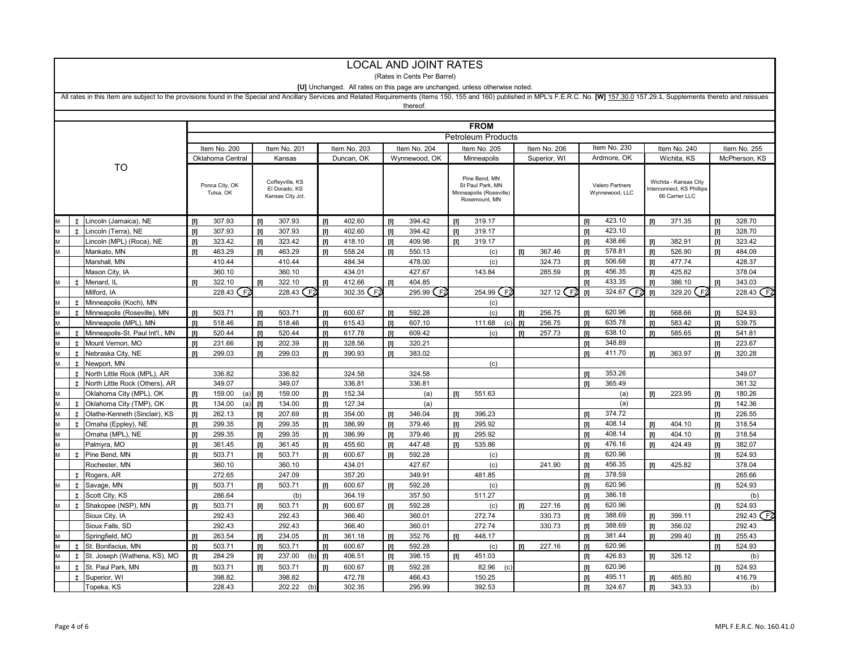|   | <b>LOCAL AND JOINT RATES</b> |                                                                                                                                                                                                                               |                                                                                                                                                                                                                                                                                                                                                                                                                                                                                                                                                                                                                                          |                  |                                                                                                                                                                                                                                                                                                                                                                                                                                                                                                                                                                                                                                                                                                                                          |                                   |        |                  |        |                             |                                                                                                                                                                                                                                                                                                                                                                                                                                                                                                                                                                                                                                                                                                                                                                                                                 |                                                                              |    |              |                                                                                                                                                                                                                                                       |                 |              |                                            |                                                                                                                                                                                                                                                                                                                                                                                                                                           |                  |
|---|------------------------------|-------------------------------------------------------------------------------------------------------------------------------------------------------------------------------------------------------------------------------|------------------------------------------------------------------------------------------------------------------------------------------------------------------------------------------------------------------------------------------------------------------------------------------------------------------------------------------------------------------------------------------------------------------------------------------------------------------------------------------------------------------------------------------------------------------------------------------------------------------------------------------|------------------|------------------------------------------------------------------------------------------------------------------------------------------------------------------------------------------------------------------------------------------------------------------------------------------------------------------------------------------------------------------------------------------------------------------------------------------------------------------------------------------------------------------------------------------------------------------------------------------------------------------------------------------------------------------------------------------------------------------------------------------|-----------------------------------|--------|------------------|--------|-----------------------------|-----------------------------------------------------------------------------------------------------------------------------------------------------------------------------------------------------------------------------------------------------------------------------------------------------------------------------------------------------------------------------------------------------------------------------------------------------------------------------------------------------------------------------------------------------------------------------------------------------------------------------------------------------------------------------------------------------------------------------------------------------------------------------------------------------------------|------------------------------------------------------------------------------|----|--------------|-------------------------------------------------------------------------------------------------------------------------------------------------------------------------------------------------------------------------------------------------------|-----------------|--------------|--------------------------------------------|-------------------------------------------------------------------------------------------------------------------------------------------------------------------------------------------------------------------------------------------------------------------------------------------------------------------------------------------------------------------------------------------------------------------------------------------|------------------|
|   |                              |                                                                                                                                                                                                                               |                                                                                                                                                                                                                                                                                                                                                                                                                                                                                                                                                                                                                                          |                  |                                                                                                                                                                                                                                                                                                                                                                                                                                                                                                                                                                                                                                                                                                                                          |                                   |        |                  |        | (Rates in Cents Per Barrel) |                                                                                                                                                                                                                                                                                                                                                                                                                                                                                                                                                                                                                                                                                                                                                                                                                 |                                                                              |    |              |                                                                                                                                                                                                                                                       |                 |              |                                            |                                                                                                                                                                                                                                                                                                                                                                                                                                           |                  |
|   |                              |                                                                                                                                                                                                                               |                                                                                                                                                                                                                                                                                                                                                                                                                                                                                                                                                                                                                                          |                  |                                                                                                                                                                                                                                                                                                                                                                                                                                                                                                                                                                                                                                                                                                                                          |                                   |        |                  |        |                             |                                                                                                                                                                                                                                                                                                                                                                                                                                                                                                                                                                                                                                                                                                                                                                                                                 | [U] Unchanged. All rates on this page are unchanged, unless otherwise noted. |    |              |                                                                                                                                                                                                                                                       |                 |              |                                            |                                                                                                                                                                                                                                                                                                                                                                                                                                           |                  |
|   |                              | All rates in this Item are subject to the provisions found in the Special and Ancillary Services and Related Requirements (Items 150, 155 and 160) published in MPL's F.E.R.C. No. [W] 157.30.0 157.29.4, Supplements thereto |                                                                                                                                                                                                                                                                                                                                                                                                                                                                                                                                                                                                                                          |                  |                                                                                                                                                                                                                                                                                                                                                                                                                                                                                                                                                                                                                                                                                                                                          |                                   |        |                  |        |                             |                                                                                                                                                                                                                                                                                                                                                                                                                                                                                                                                                                                                                                                                                                                                                                                                                 |                                                                              |    |              |                                                                                                                                                                                                                                                       |                 |              |                                            |                                                                                                                                                                                                                                                                                                                                                                                                                                           |                  |
|   |                              |                                                                                                                                                                                                                               |                                                                                                                                                                                                                                                                                                                                                                                                                                                                                                                                                                                                                                          |                  |                                                                                                                                                                                                                                                                                                                                                                                                                                                                                                                                                                                                                                                                                                                                          |                                   |        |                  |        | thereof.                    |                                                                                                                                                                                                                                                                                                                                                                                                                                                                                                                                                                                                                                                                                                                                                                                                                 |                                                                              |    |              |                                                                                                                                                                                                                                                       |                 |              |                                            |                                                                                                                                                                                                                                                                                                                                                                                                                                           |                  |
|   |                              |                                                                                                                                                                                                                               |                                                                                                                                                                                                                                                                                                                                                                                                                                                                                                                                                                                                                                          |                  |                                                                                                                                                                                                                                                                                                                                                                                                                                                                                                                                                                                                                                                                                                                                          |                                   |        |                  |        |                             |                                                                                                                                                                                                                                                                                                                                                                                                                                                                                                                                                                                                                                                                                                                                                                                                                 |                                                                              |    |              |                                                                                                                                                                                                                                                       |                 |              |                                            |                                                                                                                                                                                                                                                                                                                                                                                                                                           |                  |
|   |                              |                                                                                                                                                                                                                               |                                                                                                                                                                                                                                                                                                                                                                                                                                                                                                                                                                                                                                          |                  |                                                                                                                                                                                                                                                                                                                                                                                                                                                                                                                                                                                                                                                                                                                                          |                                   |        |                  |        |                             |                                                                                                                                                                                                                                                                                                                                                                                                                                                                                                                                                                                                                                                                                                                                                                                                                 | <b>FROM</b>                                                                  |    |              |                                                                                                                                                                                                                                                       |                 |              |                                            |                                                                                                                                                                                                                                                                                                                                                                                                                                           |                  |
|   |                              |                                                                                                                                                                                                                               |                                                                                                                                                                                                                                                                                                                                                                                                                                                                                                                                                                                                                                          |                  |                                                                                                                                                                                                                                                                                                                                                                                                                                                                                                                                                                                                                                                                                                                                          |                                   |        |                  |        |                             |                                                                                                                                                                                                                                                                                                                                                                                                                                                                                                                                                                                                                                                                                                                                                                                                                 | <b>Petroleum Products</b>                                                    |    |              |                                                                                                                                                                                                                                                       |                 |              |                                            |                                                                                                                                                                                                                                                                                                                                                                                                                                           |                  |
|   |                              |                                                                                                                                                                                                                               |                                                                                                                                                                                                                                                                                                                                                                                                                                                                                                                                                                                                                                          | Item No. 200     |                                                                                                                                                                                                                                                                                                                                                                                                                                                                                                                                                                                                                                                                                                                                          | Item No. 201                      |        | Item No. 203     |        | Item No. 204                |                                                                                                                                                                                                                                                                                                                                                                                                                                                                                                                                                                                                                                                                                                                                                                                                                 | Item No. 205                                                                 |    | Item No. 206 |                                                                                                                                                                                                                                                       | Item No. 230    | Item No. 240 |                                            |                                                                                                                                                                                                                                                                                                                                                                                                                                           | Item No. 255     |
|   |                              |                                                                                                                                                                                                                               |                                                                                                                                                                                                                                                                                                                                                                                                                                                                                                                                                                                                                                          | Oklahoma Central |                                                                                                                                                                                                                                                                                                                                                                                                                                                                                                                                                                                                                                                                                                                                          | Kansas                            |        | Duncan, OK       |        | Wynnewood, OK               |                                                                                                                                                                                                                                                                                                                                                                                                                                                                                                                                                                                                                                                                                                                                                                                                                 | Minneapolis                                                                  |    | Superior, WI |                                                                                                                                                                                                                                                       | Ardmore, OK     |              | Wichita, KS                                | McPherson, KS                                                                                                                                                                                                                                                                                                                                                                                                                             |                  |
|   |                              | TO                                                                                                                                                                                                                            |                                                                                                                                                                                                                                                                                                                                                                                                                                                                                                                                                                                                                                          |                  |                                                                                                                                                                                                                                                                                                                                                                                                                                                                                                                                                                                                                                                                                                                                          |                                   |        |                  |        |                             |                                                                                                                                                                                                                                                                                                                                                                                                                                                                                                                                                                                                                                                                                                                                                                                                                 |                                                                              |    |              |                                                                                                                                                                                                                                                       |                 |              |                                            |                                                                                                                                                                                                                                                                                                                                                                                                                                           |                  |
|   |                              |                                                                                                                                                                                                                               |                                                                                                                                                                                                                                                                                                                                                                                                                                                                                                                                                                                                                                          | Ponca City, OK   |                                                                                                                                                                                                                                                                                                                                                                                                                                                                                                                                                                                                                                                                                                                                          | Coffeyville, KS                   |        |                  |        |                             |                                                                                                                                                                                                                                                                                                                                                                                                                                                                                                                                                                                                                                                                                                                                                                                                                 | Pine Bend, MN<br>St Paul Park, MN                                            |    |              |                                                                                                                                                                                                                                                       | Valero Partners |              | Wichita - Kansas City                      |                                                                                                                                                                                                                                                                                                                                                                                                                                           |                  |
|   |                              |                                                                                                                                                                                                                               |                                                                                                                                                                                                                                                                                                                                                                                                                                                                                                                                                                                                                                          | Tulsa, OK        |                                                                                                                                                                                                                                                                                                                                                                                                                                                                                                                                                                                                                                                                                                                                          | El Dorado, KS<br>Kansas City Jct. |        |                  |        |                             |                                                                                                                                                                                                                                                                                                                                                                                                                                                                                                                                                                                                                                                                                                                                                                                                                 | Minneapolis (Roseville)                                                      |    |              |                                                                                                                                                                                                                                                       | Wynnewood, LLC  |              | nterconnect. KS Phillips<br>66 Carrier LLC |                                                                                                                                                                                                                                                                                                                                                                                                                                           |                  |
|   |                              |                                                                                                                                                                                                                               |                                                                                                                                                                                                                                                                                                                                                                                                                                                                                                                                                                                                                                          |                  |                                                                                                                                                                                                                                                                                                                                                                                                                                                                                                                                                                                                                                                                                                                                          |                                   |        |                  |        |                             |                                                                                                                                                                                                                                                                                                                                                                                                                                                                                                                                                                                                                                                                                                                                                                                                                 | Rosemount, MN                                                                |    |              |                                                                                                                                                                                                                                                       |                 |              |                                            |                                                                                                                                                                                                                                                                                                                                                                                                                                           |                  |
|   |                              |                                                                                                                                                                                                                               |                                                                                                                                                                                                                                                                                                                                                                                                                                                                                                                                                                                                                                          |                  |                                                                                                                                                                                                                                                                                                                                                                                                                                                                                                                                                                                                                                                                                                                                          |                                   |        |                  |        |                             |                                                                                                                                                                                                                                                                                                                                                                                                                                                                                                                                                                                                                                                                                                                                                                                                                 |                                                                              |    |              |                                                                                                                                                                                                                                                       |                 |              |                                            |                                                                                                                                                                                                                                                                                                                                                                                                                                           |                  |
|   | $\pm$                        | Lincoln (Jamaica), NE                                                                                                                                                                                                         | Ш                                                                                                                                                                                                                                                                                                                                                                                                                                                                                                                                                                                                                                        | 307.93           | Ш                                                                                                                                                                                                                                                                                                                                                                                                                                                                                                                                                                                                                                                                                                                                        | 307.93                            | Ш      | 402.60           | Ш      | 394.42                      | ш                                                                                                                                                                                                                                                                                                                                                                                                                                                                                                                                                                                                                                                                                                                                                                                                               | 319.17                                                                       |    |              | Ш                                                                                                                                                                                                                                                     | 423.10          | тп           | 371.35                                     | Ш                                                                                                                                                                                                                                                                                                                                                                                                                                         | 328.70           |
|   | $\pm$                        | Lincoln (Terra), NE                                                                                                                                                                                                           | $[1]$                                                                                                                                                                                                                                                                                                                                                                                                                                                                                                                                                                                                                                    | 307.93           | Ш                                                                                                                                                                                                                                                                                                                                                                                                                                                                                                                                                                                                                                                                                                                                        | 307.93                            | U)     | 402.60           | [I]    | 394.42                      | Ш                                                                                                                                                                                                                                                                                                                                                                                                                                                                                                                                                                                                                                                                                                                                                                                                               | 319.17                                                                       |    |              | [I]                                                                                                                                                                                                                                                   | 423.10          |              |                                            | m                                                                                                                                                                                                                                                                                                                                                                                                                                         | 328.70           |
|   |                              | Lincoln (MPL) (Roca), NE                                                                                                                                                                                                      | Ш                                                                                                                                                                                                                                                                                                                                                                                                                                                                                                                                                                                                                                        | 323.42           | Ш                                                                                                                                                                                                                                                                                                                                                                                                                                                                                                                                                                                                                                                                                                                                        | 323.42                            | U)     | 418.10           | m      | 409.98                      | Ш                                                                                                                                                                                                                                                                                                                                                                                                                                                                                                                                                                                                                                                                                                                                                                                                               | 319.17                                                                       |    |              | Ш                                                                                                                                                                                                                                                     | 438.66          | Ш            | 382.91                                     | Ш                                                                                                                                                                                                                                                                                                                                                                                                                                         | 323.42           |
| M |                              | Mankato, MN                                                                                                                                                                                                                   | $[1]$                                                                                                                                                                                                                                                                                                                                                                                                                                                                                                                                                                                                                                    | 463.29           | m                                                                                                                                                                                                                                                                                                                                                                                                                                                                                                                                                                                                                                                                                                                                        | 463.29                            | [1]    | 558.24           | U)     | 550.13                      |                                                                                                                                                                                                                                                                                                                                                                                                                                                                                                                                                                                                                                                                                                                                                                                                                 | (c)                                                                          | Ш  | 367.46       | $[1]$                                                                                                                                                                                                                                                 | 578.81          | $[1]$        | 526.90                                     | Ш                                                                                                                                                                                                                                                                                                                                                                                                                                         | 484.09           |
|   |                              | Marshall, MN                                                                                                                                                                                                                  |                                                                                                                                                                                                                                                                                                                                                                                                                                                                                                                                                                                                                                          | 410.44           |                                                                                                                                                                                                                                                                                                                                                                                                                                                                                                                                                                                                                                                                                                                                          | 410.44                            |        | 484.34           |        | 478.00                      |                                                                                                                                                                                                                                                                                                                                                                                                                                                                                                                                                                                                                                                                                                                                                                                                                 | (c)                                                                          |    | 324.73       | [I]                                                                                                                                                                                                                                                   | 506.68          | Ш            | 477.74                                     |                                                                                                                                                                                                                                                                                                                                                                                                                                           | 428.37           |
|   |                              | Mason City, IA                                                                                                                                                                                                                |                                                                                                                                                                                                                                                                                                                                                                                                                                                                                                                                                                                                                                          | 360.10           |                                                                                                                                                                                                                                                                                                                                                                                                                                                                                                                                                                                                                                                                                                                                          | 360.10                            |        | 434.01           |        | 427.67                      |                                                                                                                                                                                                                                                                                                                                                                                                                                                                                                                                                                                                                                                                                                                                                                                                                 | 143.84                                                                       |    | 285.59       | $[1]$                                                                                                                                                                                                                                                 | 456.35          | Ш            | 425.82                                     |                                                                                                                                                                                                                                                                                                                                                                                                                                           | 378.04           |
|   | $\pm$                        | Menard, IL                                                                                                                                                                                                                    | $[1]$                                                                                                                                                                                                                                                                                                                                                                                                                                                                                                                                                                                                                                    | 322.10           | Ш                                                                                                                                                                                                                                                                                                                                                                                                                                                                                                                                                                                                                                                                                                                                        | 322.10                            | Ш      | 412.66           | m      | 404.85                      |                                                                                                                                                                                                                                                                                                                                                                                                                                                                                                                                                                                                                                                                                                                                                                                                                 |                                                                              |    |              | Ш                                                                                                                                                                                                                                                     | 433.35          |              | 386.10                                     | Ш                                                                                                                                                                                                                                                                                                                                                                                                                                         | 343.03           |
|   |                              | Milford, IA                                                                                                                                                                                                                   |                                                                                                                                                                                                                                                                                                                                                                                                                                                                                                                                                                                                                                          | 228.43 (F2       |                                                                                                                                                                                                                                                                                                                                                                                                                                                                                                                                                                                                                                                                                                                                          | 228.43 F2                         |        | 302.35 (F2       |        | 295.99 (F <sub>2</sub>      |                                                                                                                                                                                                                                                                                                                                                                                                                                                                                                                                                                                                                                                                                                                                                                                                                 | F2<br>254.99                                                                 |    | 327.12 F2    | $[1] % \centering \includegraphics[width=0.9\textwidth]{images/TrDiM-Architecture.png} % \caption{The first two different values of $d \sim \tfrac{1}{2}$. The first two different values of $d$ and $d$ are the same.} \label{TrDiM-Architecture} %$ | 324.67 F2       |              | 329.20 (F2                                 |                                                                                                                                                                                                                                                                                                                                                                                                                                           | 228.43 F2        |
|   | Ŧ                            | Minneapolis (Koch), MN                                                                                                                                                                                                        |                                                                                                                                                                                                                                                                                                                                                                                                                                                                                                                                                                                                                                          |                  |                                                                                                                                                                                                                                                                                                                                                                                                                                                                                                                                                                                                                                                                                                                                          |                                   |        |                  |        |                             |                                                                                                                                                                                                                                                                                                                                                                                                                                                                                                                                                                                                                                                                                                                                                                                                                 | (c)                                                                          |    |              |                                                                                                                                                                                                                                                       | 620.96          |              |                                            |                                                                                                                                                                                                                                                                                                                                                                                                                                           |                  |
|   | $\pm$                        | Minneapolis (Roseville), MN                                                                                                                                                                                                   | $[1]$                                                                                                                                                                                                                                                                                                                                                                                                                                                                                                                                                                                                                                    | 503.71           | Ш                                                                                                                                                                                                                                                                                                                                                                                                                                                                                                                                                                                                                                                                                                                                        | 503.71                            | U)     | 600.67           |        | 592.28                      |                                                                                                                                                                                                                                                                                                                                                                                                                                                                                                                                                                                                                                                                                                                                                                                                                 | (c)                                                                          | IJ | 256.75       | [I]                                                                                                                                                                                                                                                   | 635.78          |              | 568.66                                     | Ш                                                                                                                                                                                                                                                                                                                                                                                                                                         | 524.93           |
|   |                              | Minneapolis (MPL), MN                                                                                                                                                                                                         | Ш                                                                                                                                                                                                                                                                                                                                                                                                                                                                                                                                                                                                                                        | 518.46<br>520.44 | Ш                                                                                                                                                                                                                                                                                                                                                                                                                                                                                                                                                                                                                                                                                                                                        | 518.46<br>520.44                  | [I]    | 615.43           | Ш      | 607.10                      |                                                                                                                                                                                                                                                                                                                                                                                                                                                                                                                                                                                                                                                                                                                                                                                                                 | 111.68<br>(c)                                                                | Ш  | 256.75       | Ш                                                                                                                                                                                                                                                     | 638.10          |              | 583.42<br>585.65                           | Ш                                                                                                                                                                                                                                                                                                                                                                                                                                         | 539.75           |
|   | $\pm$<br>$\pm$               | Minneapolis-St. Paul Int'l., MN<br>Mount Vernon, MO                                                                                                                                                                           | $[1]$                                                                                                                                                                                                                                                                                                                                                                                                                                                                                                                                                                                                                                    | 231.66           | Ш                                                                                                                                                                                                                                                                                                                                                                                                                                                                                                                                                                                                                                                                                                                                        | 202.39                            | U)     | 617.78<br>328.56 | m      | 609.42<br>320.21            |                                                                                                                                                                                                                                                                                                                                                                                                                                                                                                                                                                                                                                                                                                                                                                                                                 | (c)                                                                          | Ш  | 257.73       | $[1]$                                                                                                                                                                                                                                                 | 348.89          | Ш            |                                            | Ш                                                                                                                                                                                                                                                                                                                                                                                                                                         | 541.81<br>223.67 |
|   | $\pm$                        | Nebraska City, NE                                                                                                                                                                                                             | $[1] % \centering \includegraphics[width=0.9\textwidth]{images/TrDiS/N-Architecture.png} % \caption{The first two different values of $N$ in the right, $N=100$, $N=100$, $N=100$, $N=100$, $N=100$, $N=100$, $N=100$, $N=100$, $N=100$, $N=100$, $N=100$, $N=100$, $N=100$, $N=100$, $N=100$, $N=100$, $N=100$, $N=100$, $N=100$, $N=100$, $N=100$, $N=100$, $N=100$, $N=100$, $N=1$<br>Ш                                                                                                                                                                                                                                               | 299.03           | U<br>Ш                                                                                                                                                                                                                                                                                                                                                                                                                                                                                                                                                                                                                                                                                                                                   | 299.03                            | Ш<br>Ш | 390.93           | U<br>Ш | 383.02                      |                                                                                                                                                                                                                                                                                                                                                                                                                                                                                                                                                                                                                                                                                                                                                                                                                 |                                                                              |    |              | Ш<br>Ш                                                                                                                                                                                                                                                | 411.70          |              | 363.97                                     | IJ<br>т                                                                                                                                                                                                                                                                                                                                                                                                                                   | 320.28           |
|   | $\ddagger$                   | Newport, MN                                                                                                                                                                                                                   |                                                                                                                                                                                                                                                                                                                                                                                                                                                                                                                                                                                                                                          |                  |                                                                                                                                                                                                                                                                                                                                                                                                                                                                                                                                                                                                                                                                                                                                          |                                   |        |                  |        |                             |                                                                                                                                                                                                                                                                                                                                                                                                                                                                                                                                                                                                                                                                                                                                                                                                                 | (c)                                                                          |    |              |                                                                                                                                                                                                                                                       |                 |              |                                            |                                                                                                                                                                                                                                                                                                                                                                                                                                           |                  |
|   | $\pm$                        | North Little Rock (MPL), AR                                                                                                                                                                                                   |                                                                                                                                                                                                                                                                                                                                                                                                                                                                                                                                                                                                                                          | 336.82           |                                                                                                                                                                                                                                                                                                                                                                                                                                                                                                                                                                                                                                                                                                                                          | 336.82                            |        | 324.58           |        | 324.58                      |                                                                                                                                                                                                                                                                                                                                                                                                                                                                                                                                                                                                                                                                                                                                                                                                                 |                                                                              |    |              | m                                                                                                                                                                                                                                                     | 353.26          |              |                                            |                                                                                                                                                                                                                                                                                                                                                                                                                                           | 349.07           |
|   | $\pm$                        | North Little Rock (Others), AR                                                                                                                                                                                                |                                                                                                                                                                                                                                                                                                                                                                                                                                                                                                                                                                                                                                          | 349.07           |                                                                                                                                                                                                                                                                                                                                                                                                                                                                                                                                                                                                                                                                                                                                          | 349.07                            |        | 336.81           |        | 336.81                      |                                                                                                                                                                                                                                                                                                                                                                                                                                                                                                                                                                                                                                                                                                                                                                                                                 |                                                                              |    |              | Ш                                                                                                                                                                                                                                                     | 365.49          |              |                                            |                                                                                                                                                                                                                                                                                                                                                                                                                                           | 361.32           |
|   |                              | Oklahoma City (MPL), OK                                                                                                                                                                                                       | $[1]$                                                                                                                                                                                                                                                                                                                                                                                                                                                                                                                                                                                                                                    | 159.00<br>(a)    |                                                                                                                                                                                                                                                                                                                                                                                                                                                                                                                                                                                                                                                                                                                                          | 159.00                            | Ш      | 152.34           |        | (a)                         | Ш                                                                                                                                                                                                                                                                                                                                                                                                                                                                                                                                                                                                                                                                                                                                                                                                               | 551.63                                                                       |    |              |                                                                                                                                                                                                                                                       | (a)             | Ш            | 223.95                                     | m                                                                                                                                                                                                                                                                                                                                                                                                                                         | 180.26           |
|   | $\pm$                        | Oklahoma City (TMP), OK                                                                                                                                                                                                       | $[1]$                                                                                                                                                                                                                                                                                                                                                                                                                                                                                                                                                                                                                                    | 134.00<br>(a)    | Ш                                                                                                                                                                                                                                                                                                                                                                                                                                                                                                                                                                                                                                                                                                                                        | 134.00                            | U)     | 127.34           |        | (a)                         |                                                                                                                                                                                                                                                                                                                                                                                                                                                                                                                                                                                                                                                                                                                                                                                                                 |                                                                              |    |              |                                                                                                                                                                                                                                                       | (a)             |              |                                            | m                                                                                                                                                                                                                                                                                                                                                                                                                                         | 142.36           |
|   | $\pm$                        | Olathe-Kenneth (Sinclair), KS                                                                                                                                                                                                 | Ш                                                                                                                                                                                                                                                                                                                                                                                                                                                                                                                                                                                                                                        | 262.13           | U                                                                                                                                                                                                                                                                                                                                                                                                                                                                                                                                                                                                                                                                                                                                        | 207.69                            | w      | 354.00           | w      | 346.04                      | Ш                                                                                                                                                                                                                                                                                                                                                                                                                                                                                                                                                                                                                                                                                                                                                                                                               | 396.23                                                                       |    |              | w                                                                                                                                                                                                                                                     | 374.72          |              |                                            | IJ                                                                                                                                                                                                                                                                                                                                                                                                                                        | 226.55           |
|   | $\pm$                        | Omaha (Eppley), NE                                                                                                                                                                                                            | $[1] % \centering \includegraphics[width=0.9\textwidth]{images/TrDiS/N-Architecture.png} % \caption{The first two different values of $N$ in the case of $N$ in the case of $N$ in the case of $N$ in the case of $N$ in the case of $N$ in the case of $N$ in the case of $N$ in the case of $N$ in the case of $N$ in the case of $N$ in the case of $N$ in the case of $N$ in the case of $N$ in the case of $N$ in the case of $N$ in the case of $N$ in the case of $N$ in the case of $N$ in the case of $N$ in the case of $N$ in the case of $N$ in the case of $N$ in the case of $N$ in the case of $N$ in the case of $N$ in$ | 299.35           | IJ                                                                                                                                                                                                                                                                                                                                                                                                                                                                                                                                                                                                                                                                                                                                       | 299.35                            | [I]    | 386.99           | U)     | 379.46                      | Ш                                                                                                                                                                                                                                                                                                                                                                                                                                                                                                                                                                                                                                                                                                                                                                                                               | 295.92                                                                       |    |              | [I]                                                                                                                                                                                                                                                   | 408.14          |              | 404.10                                     | Ш                                                                                                                                                                                                                                                                                                                                                                                                                                         | 318.54           |
|   |                              | Omaha (MPL), NE                                                                                                                                                                                                               | Ш                                                                                                                                                                                                                                                                                                                                                                                                                                                                                                                                                                                                                                        | 299.35           | U                                                                                                                                                                                                                                                                                                                                                                                                                                                                                                                                                                                                                                                                                                                                        | 299.35                            | Ш      | 386.99           | [I]    | 379.46                      | Ш                                                                                                                                                                                                                                                                                                                                                                                                                                                                                                                                                                                                                                                                                                                                                                                                               | 295.92                                                                       |    |              | Ш                                                                                                                                                                                                                                                     | 408.14          |              | 404.10                                     | Ш                                                                                                                                                                                                                                                                                                                                                                                                                                         | 318.54           |
| M |                              | Palmyra, MO                                                                                                                                                                                                                   | $[1] % \centering \includegraphics[width=0.9\textwidth]{images/TrDiS/N-Architecture.png} % \caption{The first two different values of $N$ in the right, $N=100$, $N=100$, $N=100$, $N=100$, $N=100$, $N=100$, $N=100$, $N=100$, $N=100$, $N=100$, $N=100$, $N=100$, $N=100$, $N=100$, $N=100$, $N=100$, $N=100$, $N=100$, $N=100$, $N=100$, $N=100$, $N=100$, $N=100$, $N=100$, $N=1$                                                                                                                                                                                                                                                    | 361.45           | $[1] % \centering \includegraphics[width=0.9\textwidth]{images/Trn1.png} % \caption{The first two different values of $d = 1$. The first two different values of $d = 1.3$, the first two different values of $d = 1.3$, the second two different values of $d = 1.3$, the second two different values of $d = 1.3$, the second two different values of $d = 1.3$, the second two different values of $d = 1.3$, the second two different values of $d = 1.3$, the second two different values of $d = 1.3$, the third two different values of $d = 1.3$, the third two different values of $d = 1.3$, the third two different values of $d = 1.3$, the third two different values of $d = 1.3$, the third two different values of $d =$ | 361.45                            | [I]    | 455.60           | U)     | 447.48                      | $[1] % \centering \includegraphics[width=0.47\textwidth]{images/TrDiS-Architecture.png} % \caption{The first two different values of $S$ and $S$. The first two different values of $S$ and $S$. The first two different values of $S$ and $S$. The second two different values of $S$ and $S$. The second two different values of $S$ and $S$. The second two different values of $S$ and $S$. The second two different values of $S$ and $S$. The second two different values of $S$ and $S$. The second two different values of $S$ and $S$. The second two different values of $S$ and $S$. The second two different values of $S$ and $S$. The second two different values of $S$ and $S$. The second two different values of $S$ and $S$. The second two different values of $S$ and $S$. The second two$ | 535.86                                                                       |    |              | [I]                                                                                                                                                                                                                                                   | 476.16          | $[1]$        | 424.49                                     | $[1] % \centering \includegraphics[width=0.9\textwidth]{images/Trn1.png} % \caption{The first two different values of the parameter $\Omega$. The first two different values of the parameter $n$. The first two different values of the parameter $n$. The first two different values of the parameter $n$. The first two different values of the parameter $n$. The first two different values of the parameter $n$.} % \label{Trn1} %$ | 382.07           |
|   | $\pm$                        | Pine Bend, MN                                                                                                                                                                                                                 | Ш                                                                                                                                                                                                                                                                                                                                                                                                                                                                                                                                                                                                                                        | 503.71           | т                                                                                                                                                                                                                                                                                                                                                                                                                                                                                                                                                                                                                                                                                                                                        | 503.71                            | [I]    | 600.67           | m      | 592.28                      |                                                                                                                                                                                                                                                                                                                                                                                                                                                                                                                                                                                                                                                                                                                                                                                                                 | (c)                                                                          |    |              | Ш                                                                                                                                                                                                                                                     | 620.96          |              |                                            | m                                                                                                                                                                                                                                                                                                                                                                                                                                         | 524.93           |
|   |                              | Rochester, MN                                                                                                                                                                                                                 |                                                                                                                                                                                                                                                                                                                                                                                                                                                                                                                                                                                                                                          | 360.10           |                                                                                                                                                                                                                                                                                                                                                                                                                                                                                                                                                                                                                                                                                                                                          | 360.10                            |        | 434.01           |        | 427.67                      |                                                                                                                                                                                                                                                                                                                                                                                                                                                                                                                                                                                                                                                                                                                                                                                                                 | (c)                                                                          |    | 241.90       | $[1]$                                                                                                                                                                                                                                                 | 456.35          | Ш            | 425.82                                     |                                                                                                                                                                                                                                                                                                                                                                                                                                           | 378.04           |
|   | $\pm$                        | Rogers, AR                                                                                                                                                                                                                    |                                                                                                                                                                                                                                                                                                                                                                                                                                                                                                                                                                                                                                          | 272.65           |                                                                                                                                                                                                                                                                                                                                                                                                                                                                                                                                                                                                                                                                                                                                          | 247.09                            |        | 357.20           |        | 349.91                      |                                                                                                                                                                                                                                                                                                                                                                                                                                                                                                                                                                                                                                                                                                                                                                                                                 | 481.85                                                                       |    |              | IJ                                                                                                                                                                                                                                                    | 378.59          |              |                                            |                                                                                                                                                                                                                                                                                                                                                                                                                                           | 265.66           |
|   | $\ddagger$                   | Savage, MN                                                                                                                                                                                                                    | Ш                                                                                                                                                                                                                                                                                                                                                                                                                                                                                                                                                                                                                                        | 503.71           | Ш                                                                                                                                                                                                                                                                                                                                                                                                                                                                                                                                                                                                                                                                                                                                        | 503.71                            | Ш      | 600.67           | Ш      | 592.28                      |                                                                                                                                                                                                                                                                                                                                                                                                                                                                                                                                                                                                                                                                                                                                                                                                                 | (c)                                                                          |    |              | w                                                                                                                                                                                                                                                     | 620.96          |              |                                            | Ш                                                                                                                                                                                                                                                                                                                                                                                                                                         | 524.93           |
|   | $\pm$                        | Scott City, KS                                                                                                                                                                                                                |                                                                                                                                                                                                                                                                                                                                                                                                                                                                                                                                                                                                                                          | 286.64           |                                                                                                                                                                                                                                                                                                                                                                                                                                                                                                                                                                                                                                                                                                                                          | (b)                               |        | 364.19           |        | 357.50                      |                                                                                                                                                                                                                                                                                                                                                                                                                                                                                                                                                                                                                                                                                                                                                                                                                 | 511.27                                                                       |    |              | Ш                                                                                                                                                                                                                                                     | 386.18          |              |                                            |                                                                                                                                                                                                                                                                                                                                                                                                                                           | (b)              |
|   | $\pm$                        | Shakopee (NSP), MN                                                                                                                                                                                                            | Ш                                                                                                                                                                                                                                                                                                                                                                                                                                                                                                                                                                                                                                        | 503.71           | Ш                                                                                                                                                                                                                                                                                                                                                                                                                                                                                                                                                                                                                                                                                                                                        | 503.71                            | Ш      | 600.67           | Ш      | 592.28                      |                                                                                                                                                                                                                                                                                                                                                                                                                                                                                                                                                                                                                                                                                                                                                                                                                 | (c)                                                                          | т  | 227.16       | Ш                                                                                                                                                                                                                                                     | 620.96          |              |                                            | m                                                                                                                                                                                                                                                                                                                                                                                                                                         | 524.93           |
|   |                              | Sioux City, IA                                                                                                                                                                                                                |                                                                                                                                                                                                                                                                                                                                                                                                                                                                                                                                                                                                                                          | 292.43           |                                                                                                                                                                                                                                                                                                                                                                                                                                                                                                                                                                                                                                                                                                                                          | 292.43                            |        | 366.40           |        | 360.01                      |                                                                                                                                                                                                                                                                                                                                                                                                                                                                                                                                                                                                                                                                                                                                                                                                                 | 272.74                                                                       |    | 330.73       | $[1]$                                                                                                                                                                                                                                                 | 388.69          | Ш            | 399.11                                     |                                                                                                                                                                                                                                                                                                                                                                                                                                           | 292.43 F2        |
|   |                              | Sioux Falls, SD                                                                                                                                                                                                               |                                                                                                                                                                                                                                                                                                                                                                                                                                                                                                                                                                                                                                          | 292.43           |                                                                                                                                                                                                                                                                                                                                                                                                                                                                                                                                                                                                                                                                                                                                          | 292.43                            |        | 366.40           |        | 360.01                      |                                                                                                                                                                                                                                                                                                                                                                                                                                                                                                                                                                                                                                                                                                                                                                                                                 | 272.74                                                                       |    | 330.73       | $\mathbf{m}$                                                                                                                                                                                                                                          | 388.69          | Ш            | 356.02                                     |                                                                                                                                                                                                                                                                                                                                                                                                                                           | 292.43           |
|   |                              | Springfield, MO                                                                                                                                                                                                               | Ш                                                                                                                                                                                                                                                                                                                                                                                                                                                                                                                                                                                                                                        | 263.54           | Ш                                                                                                                                                                                                                                                                                                                                                                                                                                                                                                                                                                                                                                                                                                                                        | 234.05                            | Ш      | 361.18           | Ш      | 352.76                      | Ш                                                                                                                                                                                                                                                                                                                                                                                                                                                                                                                                                                                                                                                                                                                                                                                                               | 448.17                                                                       |    |              | U)                                                                                                                                                                                                                                                    | 381.44          | Ш            | 299.40                                     | m                                                                                                                                                                                                                                                                                                                                                                                                                                         | 255.43           |
|   | $\pm$                        | St. Bonifacius, MN                                                                                                                                                                                                            | Ш                                                                                                                                                                                                                                                                                                                                                                                                                                                                                                                                                                                                                                        | 503.71           | Ш                                                                                                                                                                                                                                                                                                                                                                                                                                                                                                                                                                                                                                                                                                                                        | 503.71                            | $[1]$  | 600.67           | Ш      | 592.28                      |                                                                                                                                                                                                                                                                                                                                                                                                                                                                                                                                                                                                                                                                                                                                                                                                                 | (c)                                                                          | Ш  | 227.16       | U)                                                                                                                                                                                                                                                    | 620.96          |              |                                            | Ш                                                                                                                                                                                                                                                                                                                                                                                                                                         | 524.93           |
|   | $\ddagger$                   | St. Joseph (Wathena, KS), MO                                                                                                                                                                                                  | $[1]$                                                                                                                                                                                                                                                                                                                                                                                                                                                                                                                                                                                                                                    | 284.29           | U                                                                                                                                                                                                                                                                                                                                                                                                                                                                                                                                                                                                                                                                                                                                        | 237.00<br>(b)                     | $[1]$  | 406.51           | w      | 398.15                      | $[1] % \centering \includegraphics[width=0.9\textwidth]{images/Trn1.png} % \caption{The first two different values of the parameter $\Omega$. The first two different values of the parameter $\Omega$. The first two different values of the parameter $\Omega$. The first two different values of the parameter $\Omega$. The first two different values of the parameter $\Omega$. The first two different values of the parameter $\Omega$.} % \label{Trn1} %$                                                                                                                                                                                                                                                                                                                                              | 451.03                                                                       |    |              | m                                                                                                                                                                                                                                                     | 426.83          | w            | 326.12                                     |                                                                                                                                                                                                                                                                                                                                                                                                                                           | (b)              |
|   | $\pm$                        | St. Paul Park, MN                                                                                                                                                                                                             | Ш                                                                                                                                                                                                                                                                                                                                                                                                                                                                                                                                                                                                                                        | 503.71           | Ш                                                                                                                                                                                                                                                                                                                                                                                                                                                                                                                                                                                                                                                                                                                                        | 503.71                            | Ш      | 600.67           | TI1    | 592.28                      |                                                                                                                                                                                                                                                                                                                                                                                                                                                                                                                                                                                                                                                                                                                                                                                                                 | 82.96<br>(c)                                                                 |    |              | Ш                                                                                                                                                                                                                                                     | 620.96          |              |                                            |                                                                                                                                                                                                                                                                                                                                                                                                                                           | 524.93           |
|   | $\ddagger$                   | Superior, WI                                                                                                                                                                                                                  |                                                                                                                                                                                                                                                                                                                                                                                                                                                                                                                                                                                                                                          | 398.82           |                                                                                                                                                                                                                                                                                                                                                                                                                                                                                                                                                                                                                                                                                                                                          | 398.82                            |        | 472.78           |        | 466.43                      |                                                                                                                                                                                                                                                                                                                                                                                                                                                                                                                                                                                                                                                                                                                                                                                                                 | 150.25                                                                       |    |              | Ш                                                                                                                                                                                                                                                     | 495.11          |              | 465.80                                     |                                                                                                                                                                                                                                                                                                                                                                                                                                           | 416.79           |
|   |                              | Topeka, KS                                                                                                                                                                                                                    |                                                                                                                                                                                                                                                                                                                                                                                                                                                                                                                                                                                                                                          | 228.43           |                                                                                                                                                                                                                                                                                                                                                                                                                                                                                                                                                                                                                                                                                                                                          | 202.22<br>(b)                     |        | 302.35           |        | 295.99                      |                                                                                                                                                                                                                                                                                                                                                                                                                                                                                                                                                                                                                                                                                                                                                                                                                 | 392.53                                                                       |    |              | $\mathbf{m}$                                                                                                                                                                                                                                          | 324.67          | Ш            | 343.33                                     |                                                                                                                                                                                                                                                                                                                                                                                                                                           | (b)              |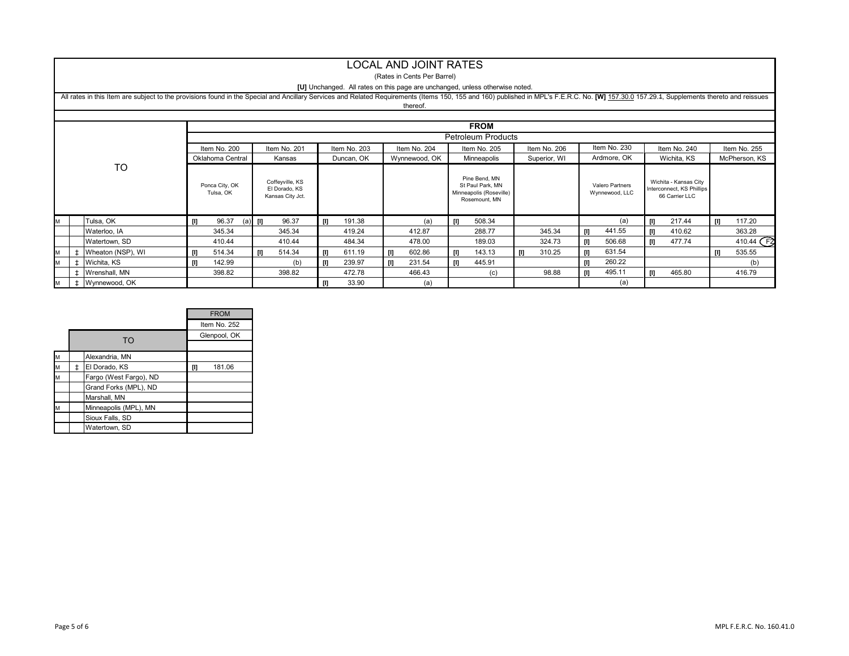#### LOCAL AND JOINT RATES

#### (Rates in Cents Per Barrel)

#### **[U]** Unchanged. All rates on this page are unchanged, unless otherwise noted.

|   | All rates in this Item are subject to the provisions found in the Special and Ancillary Services and Related Requirements (Items 150, 155 and 160) published in MPL's F.E.R.C. No. [W] 157.30.0 157.29.4, Supplements thereto<br>thereof. |                   |                             |                                                      |   |              |              |               |                                                                               |             |              |              |              |                                   |                                                                                                                                                                                                                                      |        |               |                        |
|---|-------------------------------------------------------------------------------------------------------------------------------------------------------------------------------------------------------------------------------------------|-------------------|-----------------------------|------------------------------------------------------|---|--------------|--------------|---------------|-------------------------------------------------------------------------------|-------------|--------------|--------------|--------------|-----------------------------------|--------------------------------------------------------------------------------------------------------------------------------------------------------------------------------------------------------------------------------------|--------|---------------|------------------------|
|   |                                                                                                                                                                                                                                           |                   |                             |                                                      |   |              |              |               |                                                                               |             |              |              |              |                                   |                                                                                                                                                                                                                                      |        |               |                        |
|   | <b>FROM</b>                                                                                                                                                                                                                               |                   |                             |                                                      |   |              |              |               |                                                                               |             |              |              |              |                                   |                                                                                                                                                                                                                                      |        |               |                        |
|   | <b>Petroleum Products</b>                                                                                                                                                                                                                 |                   |                             |                                                      |   |              |              |               |                                                                               |             |              |              |              |                                   |                                                                                                                                                                                                                                      |        |               |                        |
|   |                                                                                                                                                                                                                                           |                   | Item No. 200                | Item No. 201                                         |   | Item No. 203 | Item No. 204 |               | Item No. 205                                                                  |             | Item No. 206 |              | Item No. 230 |                                   | Item No. 240                                                                                                                                                                                                                         |        | Item No. 255  |                        |
|   |                                                                                                                                                                                                                                           |                   | Oklahoma Central            | Kansas                                               |   | Duncan, OK   |              | Wynnewood, OK |                                                                               | Minneapolis |              | Superior, WI | Ardmore, OK  |                                   | Wichita, KS                                                                                                                                                                                                                          |        | McPherson, KS |                        |
|   | TO                                                                                                                                                                                                                                        |                   | Ponca City, OK<br>Tulsa, OK | Coffeyville, KS<br>El Dorado, KS<br>Kansas City Jct. |   |              |              |               | Pine Bend, MN<br>St Paul Park, MN<br>Minneapolis (Roseville)<br>Rosemount, MN |             |              |              |              | Valero Partners<br>Wynnewood, LLC | Wichita - Kansas City<br>Interconnect, KS Phillips<br>66 Carrier LLC                                                                                                                                                                 |        |               |                        |
| M |                                                                                                                                                                                                                                           | Tulsa, OK         | 96.37                       | 96.37<br>$(a)$ [I]                                   |   | 191.38       |              | (a)           | Ш                                                                             | 508.34      |              |              |              | (a)                               | $[1]$                                                                                                                                                                                                                                | 217.44 | [1]           | 117.20                 |
|   |                                                                                                                                                                                                                                           | Waterloo, IA      | 345.34                      | 345.34                                               |   | 419.24       |              | 412.87        |                                                                               | 288.77      |              | 345.34       | <b>III</b>   | 441.55                            | $[1] \centering% \includegraphics[width=1\textwidth]{Figures/PD1.png} \caption{The 3D (black) model for the $2D$-error of the estimators in the left and right. The 3D (black) model for the $D$-error of the right.} \label{fig:1}$ | 410.62 |               | 363.28                 |
|   |                                                                                                                                                                                                                                           | Watertown, SD     | 410.44                      | 410.44                                               |   | 484.34       |              | 478.00        |                                                                               | 189.03      |              | 324.73       | - 14         | 506.68                            | w                                                                                                                                                                                                                                    | 477.74 |               | 410.44 (F <sub>2</sub> |
| M |                                                                                                                                                                                                                                           | Wheaton (NSP), WI | 514.34                      | 514.34                                               | m | 611.19       |              | 602.86        | -01                                                                           | 143.13      | u            | 310.25       | -01          | 631.54                            |                                                                                                                                                                                                                                      |        | U.            | 535.55                 |
| M |                                                                                                                                                                                                                                           | Wichita, KS       | 142.99                      | (b)                                                  | Ш | 239.97       |              | 231.54        | Ш                                                                             | 445.91      |              |              | -01          | 260.22                            |                                                                                                                                                                                                                                      |        |               | (b)                    |
|   |                                                                                                                                                                                                                                           | Wrenshall, MN     | 398.82                      | 398.82                                               |   | 472.78       |              | 466.43        |                                                                               | (c)         |              | 98.88        | -01          | 495.11                            | Ш                                                                                                                                                                                                                                    | 465.80 |               | 416.79                 |
| M |                                                                                                                                                                                                                                           | Wynnewood, OK     |                             |                                                      |   | 33.90        |              | (a)           |                                                                               |             |              |              |              | (a)                               |                                                                                                                                                                                                                                      |        |               |                        |

|   |                        | <b>FROM</b>  |
|---|------------------------|--------------|
|   |                        | Item No. 252 |
|   | TO                     | Glenpool, OK |
|   |                        |              |
| M | Alexandria, MN         |              |
| M | El Dorado, KS          | 181.06<br>w  |
| M | Fargo (West Fargo), ND |              |
|   | Grand Forks (MPL), ND  |              |
|   | Marshall, MN           |              |
| M | Minneapolis (MPL), MN  |              |
|   | Sioux Falls, SD        |              |
|   | Watertown, SD          |              |